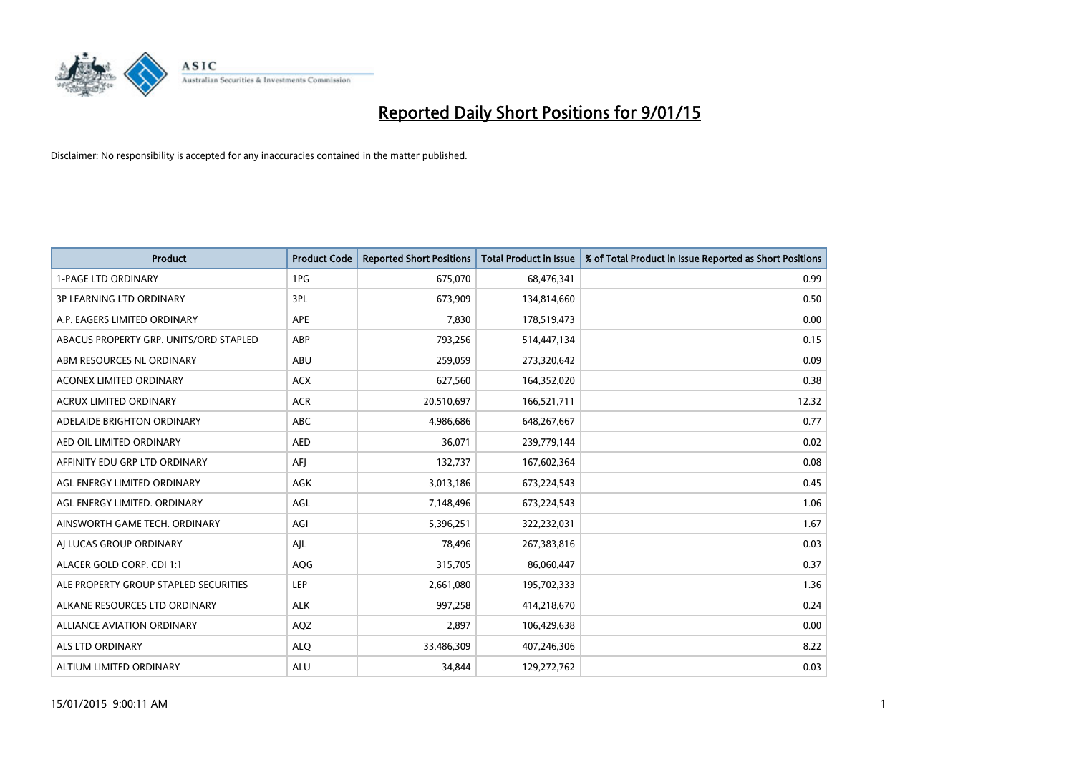

| <b>Product</b>                         | <b>Product Code</b> | <b>Reported Short Positions</b> | <b>Total Product in Issue</b> | % of Total Product in Issue Reported as Short Positions |
|----------------------------------------|---------------------|---------------------------------|-------------------------------|---------------------------------------------------------|
| <b>1-PAGE LTD ORDINARY</b>             | 1PG                 | 675,070                         | 68,476,341                    | 0.99                                                    |
| 3P LEARNING LTD ORDINARY               | 3PL                 | 673,909                         | 134,814,660                   | 0.50                                                    |
| A.P. EAGERS LIMITED ORDINARY           | <b>APE</b>          | 7,830                           | 178,519,473                   | 0.00                                                    |
| ABACUS PROPERTY GRP. UNITS/ORD STAPLED | ABP                 | 793,256                         | 514,447,134                   | 0.15                                                    |
| ABM RESOURCES NL ORDINARY              | ABU                 | 259,059                         | 273,320,642                   | 0.09                                                    |
| <b>ACONEX LIMITED ORDINARY</b>         | <b>ACX</b>          | 627,560                         | 164,352,020                   | 0.38                                                    |
| <b>ACRUX LIMITED ORDINARY</b>          | <b>ACR</b>          | 20,510,697                      | 166,521,711                   | 12.32                                                   |
| ADELAIDE BRIGHTON ORDINARY             | <b>ABC</b>          | 4,986,686                       | 648,267,667                   | 0.77                                                    |
| AED OIL LIMITED ORDINARY               | <b>AED</b>          | 36,071                          | 239,779,144                   | 0.02                                                    |
| AFFINITY EDU GRP LTD ORDINARY          | AFI                 | 132,737                         | 167,602,364                   | 0.08                                                    |
| AGL ENERGY LIMITED ORDINARY            | AGK                 | 3,013,186                       | 673,224,543                   | 0.45                                                    |
| AGL ENERGY LIMITED. ORDINARY           | AGL                 | 7,148,496                       | 673,224,543                   | 1.06                                                    |
| AINSWORTH GAME TECH. ORDINARY          | AGI                 | 5,396,251                       | 322,232,031                   | 1.67                                                    |
| AI LUCAS GROUP ORDINARY                | AJL                 | 78,496                          | 267,383,816                   | 0.03                                                    |
| ALACER GOLD CORP. CDI 1:1              | AQG                 | 315,705                         | 86,060,447                    | 0.37                                                    |
| ALE PROPERTY GROUP STAPLED SECURITIES  | <b>LEP</b>          | 2,661,080                       | 195,702,333                   | 1.36                                                    |
| ALKANE RESOURCES LTD ORDINARY          | <b>ALK</b>          | 997,258                         | 414,218,670                   | 0.24                                                    |
| ALLIANCE AVIATION ORDINARY             | AQZ                 | 2,897                           | 106,429,638                   | 0.00                                                    |
| ALS LTD ORDINARY                       | <b>ALO</b>          | 33,486,309                      | 407,246,306                   | 8.22                                                    |
| ALTIUM LIMITED ORDINARY                | <b>ALU</b>          | 34,844                          | 129,272,762                   | 0.03                                                    |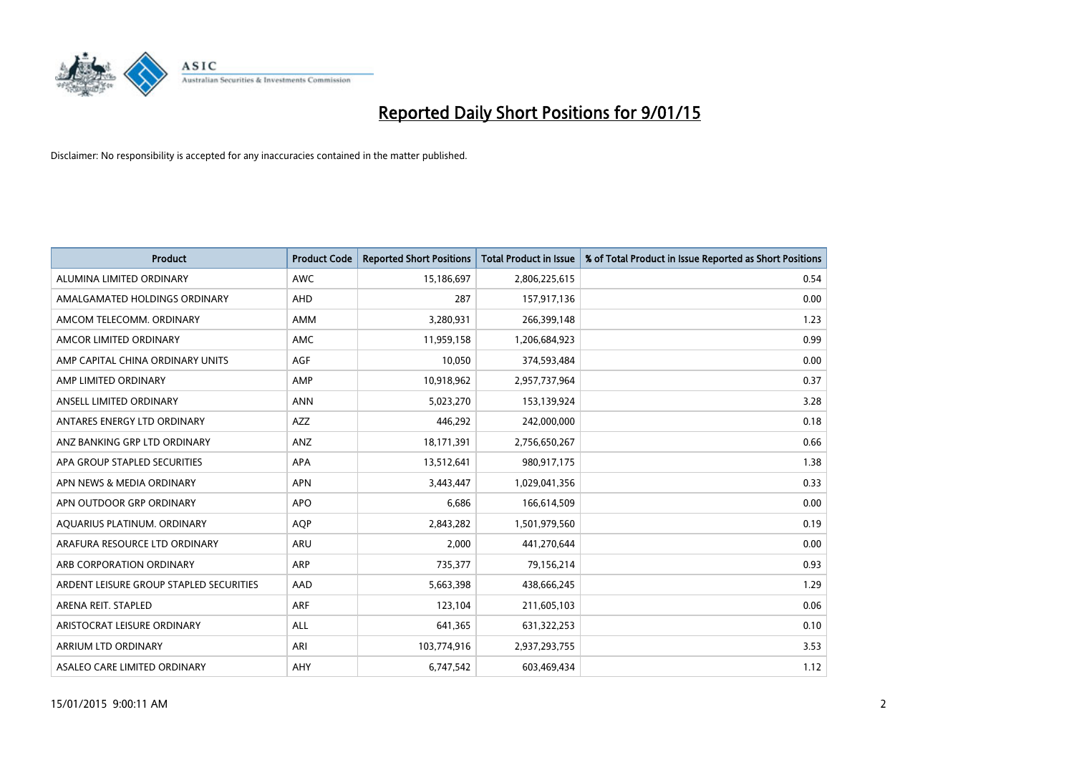

| <b>Product</b>                          | <b>Product Code</b> | <b>Reported Short Positions</b> | <b>Total Product in Issue</b> | % of Total Product in Issue Reported as Short Positions |
|-----------------------------------------|---------------------|---------------------------------|-------------------------------|---------------------------------------------------------|
| ALUMINA LIMITED ORDINARY                | <b>AWC</b>          | 15,186,697                      | 2,806,225,615                 | 0.54                                                    |
| AMALGAMATED HOLDINGS ORDINARY           | <b>AHD</b>          | 287                             | 157,917,136                   | 0.00                                                    |
| AMCOM TELECOMM. ORDINARY                | AMM                 | 3,280,931                       | 266,399,148                   | 1.23                                                    |
| AMCOR LIMITED ORDINARY                  | AMC                 | 11,959,158                      | 1,206,684,923                 | 0.99                                                    |
| AMP CAPITAL CHINA ORDINARY UNITS        | <b>AGF</b>          | 10,050                          | 374,593,484                   | 0.00                                                    |
| AMP LIMITED ORDINARY                    | AMP                 | 10,918,962                      | 2,957,737,964                 | 0.37                                                    |
| ANSELL LIMITED ORDINARY                 | <b>ANN</b>          | 5,023,270                       | 153,139,924                   | 3.28                                                    |
| ANTARES ENERGY LTD ORDINARY             | <b>AZZ</b>          | 446,292                         | 242,000,000                   | 0.18                                                    |
| ANZ BANKING GRP LTD ORDINARY            | ANZ                 | 18,171,391                      | 2,756,650,267                 | 0.66                                                    |
| APA GROUP STAPLED SECURITIES            | <b>APA</b>          | 13,512,641                      | 980,917,175                   | 1.38                                                    |
| APN NEWS & MEDIA ORDINARY               | <b>APN</b>          | 3,443,447                       | 1,029,041,356                 | 0.33                                                    |
| APN OUTDOOR GRP ORDINARY                | <b>APO</b>          | 6,686                           | 166,614,509                   | 0.00                                                    |
| AQUARIUS PLATINUM. ORDINARY             | <b>AQP</b>          | 2,843,282                       | 1,501,979,560                 | 0.19                                                    |
| ARAFURA RESOURCE LTD ORDINARY           | <b>ARU</b>          | 2,000                           | 441,270,644                   | 0.00                                                    |
| ARB CORPORATION ORDINARY                | <b>ARP</b>          | 735,377                         | 79,156,214                    | 0.93                                                    |
| ARDENT LEISURE GROUP STAPLED SECURITIES | AAD                 | 5,663,398                       | 438,666,245                   | 1.29                                                    |
| ARENA REIT. STAPLED                     | <b>ARF</b>          | 123,104                         | 211,605,103                   | 0.06                                                    |
| ARISTOCRAT LEISURE ORDINARY             | <b>ALL</b>          | 641,365                         | 631,322,253                   | 0.10                                                    |
| ARRIUM LTD ORDINARY                     | ARI                 | 103,774,916                     | 2,937,293,755                 | 3.53                                                    |
| ASALEO CARE LIMITED ORDINARY            | <b>AHY</b>          | 6,747,542                       | 603,469,434                   | 1.12                                                    |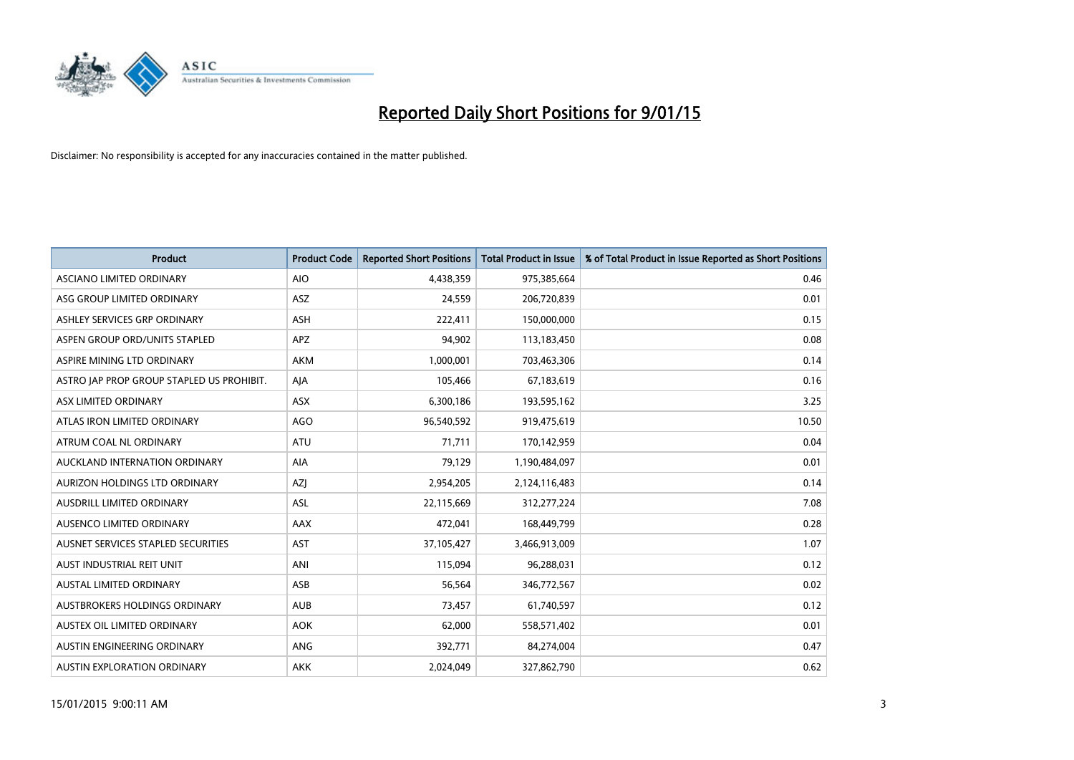

| <b>Product</b>                            | <b>Product Code</b> | <b>Reported Short Positions</b> | <b>Total Product in Issue</b> | % of Total Product in Issue Reported as Short Positions |
|-------------------------------------------|---------------------|---------------------------------|-------------------------------|---------------------------------------------------------|
| ASCIANO LIMITED ORDINARY                  | <b>AIO</b>          | 4,438,359                       | 975,385,664                   | 0.46                                                    |
| ASG GROUP LIMITED ORDINARY                | ASZ                 | 24,559                          | 206,720,839                   | 0.01                                                    |
| ASHLEY SERVICES GRP ORDINARY              | ASH                 | 222,411                         | 150,000,000                   | 0.15                                                    |
| ASPEN GROUP ORD/UNITS STAPLED             | <b>APZ</b>          | 94,902                          | 113,183,450                   | 0.08                                                    |
| ASPIRE MINING LTD ORDINARY                | <b>AKM</b>          | 1,000,001                       | 703,463,306                   | 0.14                                                    |
| ASTRO JAP PROP GROUP STAPLED US PROHIBIT. | AJA                 | 105,466                         | 67,183,619                    | 0.16                                                    |
| ASX LIMITED ORDINARY                      | ASX                 | 6,300,186                       | 193,595,162                   | 3.25                                                    |
| ATLAS IRON LIMITED ORDINARY               | <b>AGO</b>          | 96,540,592                      | 919,475,619                   | 10.50                                                   |
| ATRUM COAL NL ORDINARY                    | <b>ATU</b>          | 71,711                          | 170,142,959                   | 0.04                                                    |
| AUCKLAND INTERNATION ORDINARY             | <b>AIA</b>          | 79,129                          | 1,190,484,097                 | 0.01                                                    |
| AURIZON HOLDINGS LTD ORDINARY             | AZJ                 | 2,954,205                       | 2,124,116,483                 | 0.14                                                    |
| AUSDRILL LIMITED ORDINARY                 | ASL                 | 22,115,669                      | 312,277,224                   | 7.08                                                    |
| AUSENCO LIMITED ORDINARY                  | AAX                 | 472,041                         | 168,449,799                   | 0.28                                                    |
| AUSNET SERVICES STAPLED SECURITIES        | <b>AST</b>          | 37,105,427                      | 3,466,913,009                 | 1.07                                                    |
| AUST INDUSTRIAL REIT UNIT                 | ANI                 | 115,094                         | 96,288,031                    | 0.12                                                    |
| AUSTAL LIMITED ORDINARY                   | ASB                 | 56,564                          | 346,772,567                   | 0.02                                                    |
| AUSTBROKERS HOLDINGS ORDINARY             | <b>AUB</b>          | 73,457                          | 61,740,597                    | 0.12                                                    |
| AUSTEX OIL LIMITED ORDINARY               | <b>AOK</b>          | 62,000                          | 558,571,402                   | 0.01                                                    |
| AUSTIN ENGINEERING ORDINARY               | ANG                 | 392,771                         | 84,274,004                    | 0.47                                                    |
| AUSTIN EXPLORATION ORDINARY               | <b>AKK</b>          | 2,024,049                       | 327,862,790                   | 0.62                                                    |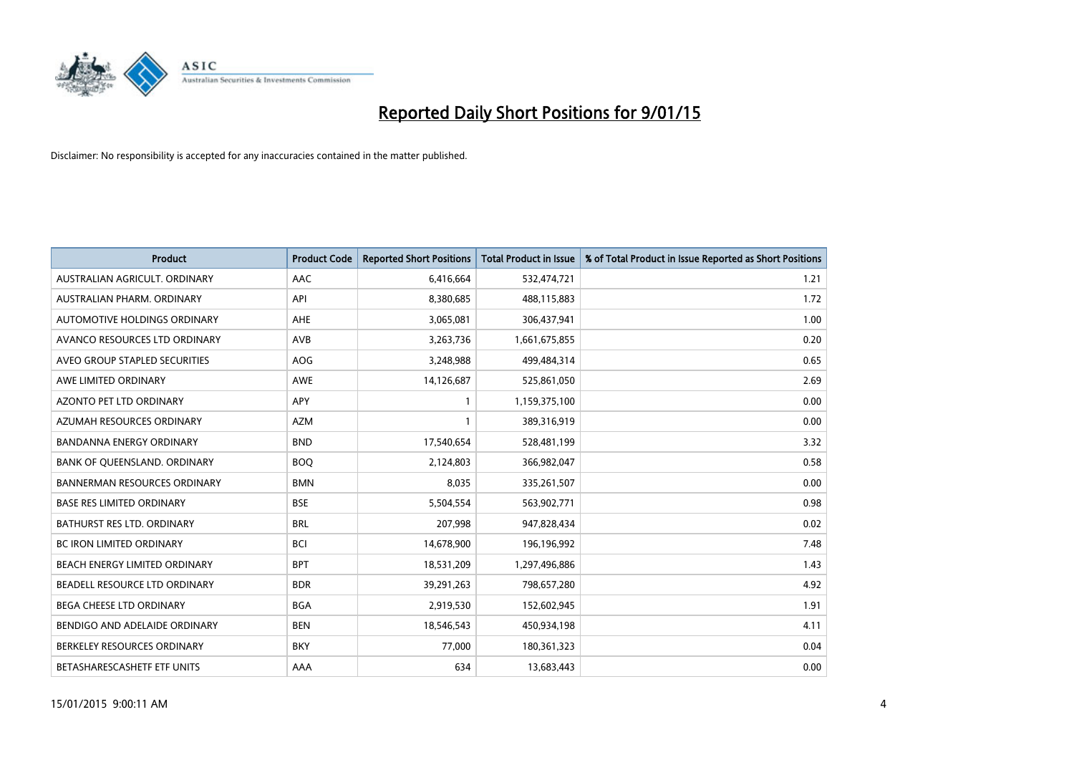

| <b>Product</b>                      | <b>Product Code</b> | <b>Reported Short Positions</b> | <b>Total Product in Issue</b> | % of Total Product in Issue Reported as Short Positions |
|-------------------------------------|---------------------|---------------------------------|-------------------------------|---------------------------------------------------------|
| AUSTRALIAN AGRICULT, ORDINARY       | AAC                 | 6,416,664                       | 532,474,721                   | 1.21                                                    |
| AUSTRALIAN PHARM. ORDINARY          | API                 | 8,380,685                       | 488,115,883                   | 1.72                                                    |
| AUTOMOTIVE HOLDINGS ORDINARY        | AHE                 | 3,065,081                       | 306,437,941                   | 1.00                                                    |
| AVANCO RESOURCES LTD ORDINARY       | AVB                 | 3,263,736                       | 1,661,675,855                 | 0.20                                                    |
| AVEO GROUP STAPLED SECURITIES       | <b>AOG</b>          | 3,248,988                       | 499,484,314                   | 0.65                                                    |
| AWE LIMITED ORDINARY                | AWE                 | 14,126,687                      | 525,861,050                   | 2.69                                                    |
| AZONTO PET LTD ORDINARY             | APY                 | 1                               | 1,159,375,100                 | 0.00                                                    |
| AZUMAH RESOURCES ORDINARY           | <b>AZM</b>          | $\mathbf{1}$                    | 389,316,919                   | 0.00                                                    |
| <b>BANDANNA ENERGY ORDINARY</b>     | <b>BND</b>          | 17,540,654                      | 528,481,199                   | 3.32                                                    |
| BANK OF QUEENSLAND. ORDINARY        | <b>BOQ</b>          | 2,124,803                       | 366,982,047                   | 0.58                                                    |
| <b>BANNERMAN RESOURCES ORDINARY</b> | <b>BMN</b>          | 8,035                           | 335,261,507                   | 0.00                                                    |
| <b>BASE RES LIMITED ORDINARY</b>    | <b>BSE</b>          | 5,504,554                       | 563,902,771                   | 0.98                                                    |
| <b>BATHURST RES LTD. ORDINARY</b>   | <b>BRL</b>          | 207,998                         | 947,828,434                   | 0.02                                                    |
| <b>BC IRON LIMITED ORDINARY</b>     | <b>BCI</b>          | 14,678,900                      | 196,196,992                   | 7.48                                                    |
| BEACH ENERGY LIMITED ORDINARY       | <b>BPT</b>          | 18,531,209                      | 1,297,496,886                 | 1.43                                                    |
| BEADELL RESOURCE LTD ORDINARY       | <b>BDR</b>          | 39,291,263                      | 798,657,280                   | 4.92                                                    |
| BEGA CHEESE LTD ORDINARY            | <b>BGA</b>          | 2,919,530                       | 152,602,945                   | 1.91                                                    |
| BENDIGO AND ADELAIDE ORDINARY       | <b>BEN</b>          | 18,546,543                      | 450,934,198                   | 4.11                                                    |
| BERKELEY RESOURCES ORDINARY         | <b>BKY</b>          | 77,000                          | 180,361,323                   | 0.04                                                    |
| BETASHARESCASHETF ETF UNITS         | AAA                 | 634                             | 13,683,443                    | 0.00                                                    |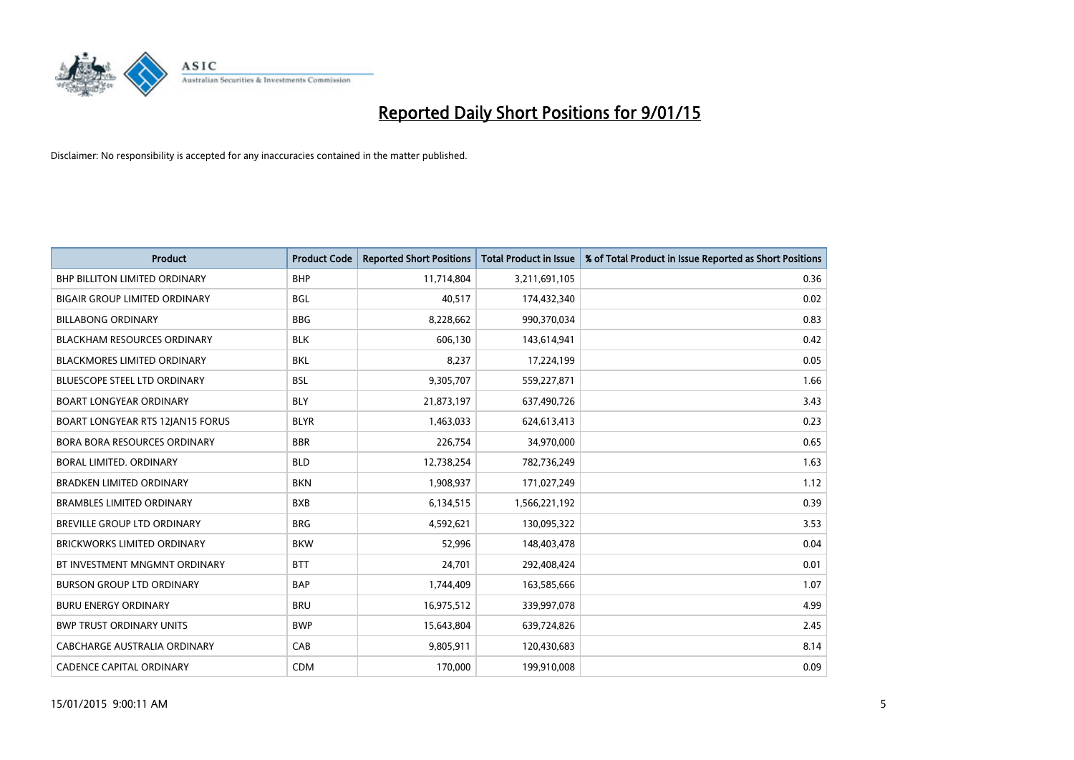

| <b>Product</b>                       | <b>Product Code</b> | <b>Reported Short Positions</b> | <b>Total Product in Issue</b> | % of Total Product in Issue Reported as Short Positions |
|--------------------------------------|---------------------|---------------------------------|-------------------------------|---------------------------------------------------------|
| <b>BHP BILLITON LIMITED ORDINARY</b> | <b>BHP</b>          | 11,714,804                      | 3,211,691,105                 | 0.36                                                    |
| <b>BIGAIR GROUP LIMITED ORDINARY</b> | <b>BGL</b>          | 40,517                          | 174,432,340                   | 0.02                                                    |
| <b>BILLABONG ORDINARY</b>            | <b>BBG</b>          | 8,228,662                       | 990,370,034                   | 0.83                                                    |
| <b>BLACKHAM RESOURCES ORDINARY</b>   | <b>BLK</b>          | 606,130                         | 143,614,941                   | 0.42                                                    |
| <b>BLACKMORES LIMITED ORDINARY</b>   | <b>BKL</b>          | 8,237                           | 17,224,199                    | 0.05                                                    |
| <b>BLUESCOPE STEEL LTD ORDINARY</b>  | <b>BSL</b>          | 9,305,707                       | 559,227,871                   | 1.66                                                    |
| <b>BOART LONGYEAR ORDINARY</b>       | <b>BLY</b>          | 21,873,197                      | 637,490,726                   | 3.43                                                    |
| BOART LONGYEAR RTS 12JAN15 FORUS     | <b>BLYR</b>         | 1,463,033                       | 624,613,413                   | 0.23                                                    |
| <b>BORA BORA RESOURCES ORDINARY</b>  | <b>BBR</b>          | 226,754                         | 34,970,000                    | 0.65                                                    |
| BORAL LIMITED. ORDINARY              | <b>BLD</b>          | 12,738,254                      | 782,736,249                   | 1.63                                                    |
| <b>BRADKEN LIMITED ORDINARY</b>      | <b>BKN</b>          | 1,908,937                       | 171,027,249                   | 1.12                                                    |
| <b>BRAMBLES LIMITED ORDINARY</b>     | <b>BXB</b>          | 6,134,515                       | 1,566,221,192                 | 0.39                                                    |
| BREVILLE GROUP LTD ORDINARY          | <b>BRG</b>          | 4,592,621                       | 130,095,322                   | 3.53                                                    |
| <b>BRICKWORKS LIMITED ORDINARY</b>   | <b>BKW</b>          | 52,996                          | 148,403,478                   | 0.04                                                    |
| BT INVESTMENT MNGMNT ORDINARY        | <b>BTT</b>          | 24,701                          | 292,408,424                   | 0.01                                                    |
| <b>BURSON GROUP LTD ORDINARY</b>     | <b>BAP</b>          | 1,744,409                       | 163,585,666                   | 1.07                                                    |
| <b>BURU ENERGY ORDINARY</b>          | <b>BRU</b>          | 16,975,512                      | 339,997,078                   | 4.99                                                    |
| <b>BWP TRUST ORDINARY UNITS</b>      | <b>BWP</b>          | 15,643,804                      | 639,724,826                   | 2.45                                                    |
| CABCHARGE AUSTRALIA ORDINARY         | CAB                 | 9,805,911                       | 120,430,683                   | 8.14                                                    |
| <b>CADENCE CAPITAL ORDINARY</b>      | <b>CDM</b>          | 170,000                         | 199,910,008                   | 0.09                                                    |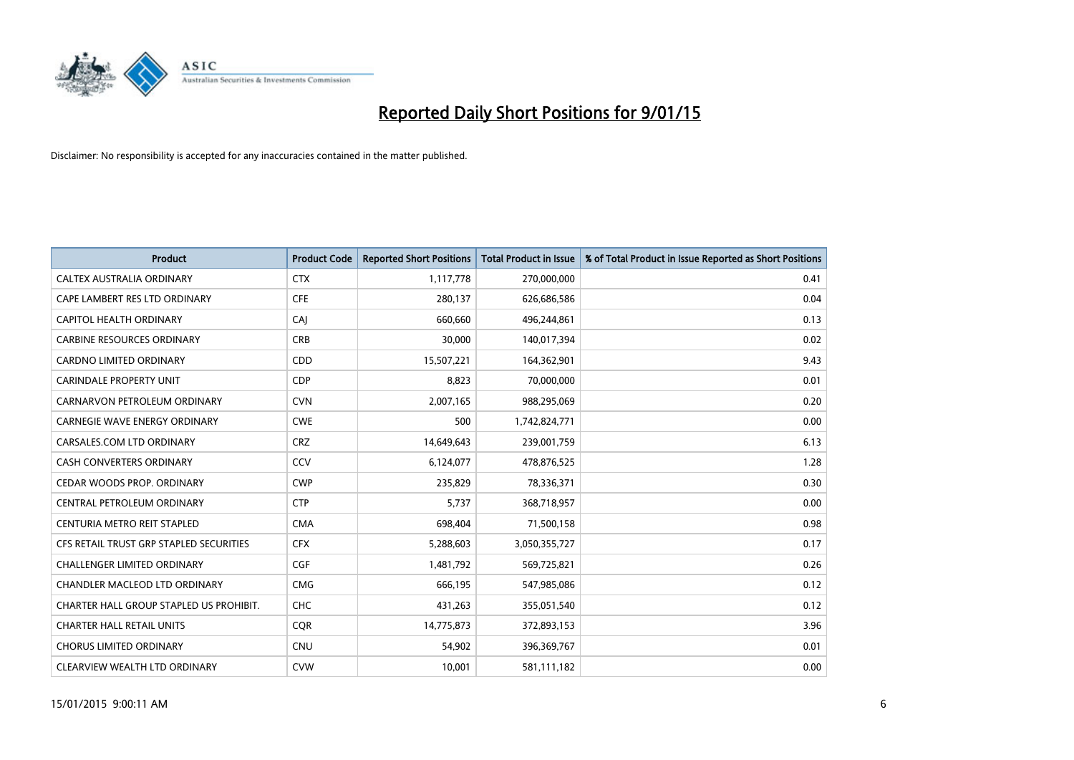

| <b>Product</b>                          | <b>Product Code</b> | <b>Reported Short Positions</b> | <b>Total Product in Issue</b> | % of Total Product in Issue Reported as Short Positions |
|-----------------------------------------|---------------------|---------------------------------|-------------------------------|---------------------------------------------------------|
| CALTEX AUSTRALIA ORDINARY               | <b>CTX</b>          | 1,117,778                       | 270,000,000                   | 0.41                                                    |
| CAPE LAMBERT RES LTD ORDINARY           | <b>CFE</b>          | 280,137                         | 626,686,586                   | 0.04                                                    |
| CAPITOL HEALTH ORDINARY                 | CAJ                 | 660,660                         | 496,244,861                   | 0.13                                                    |
| <b>CARBINE RESOURCES ORDINARY</b>       | <b>CRB</b>          | 30,000                          | 140,017,394                   | 0.02                                                    |
| <b>CARDNO LIMITED ORDINARY</b>          | CDD                 | 15,507,221                      | 164,362,901                   | 9.43                                                    |
| <b>CARINDALE PROPERTY UNIT</b>          | <b>CDP</b>          | 8,823                           | 70,000,000                    | 0.01                                                    |
| CARNARVON PETROLEUM ORDINARY            | <b>CVN</b>          | 2,007,165                       | 988,295,069                   | 0.20                                                    |
| <b>CARNEGIE WAVE ENERGY ORDINARY</b>    | <b>CWE</b>          | 500                             | 1,742,824,771                 | 0.00                                                    |
| CARSALES.COM LTD ORDINARY               | <b>CRZ</b>          | 14,649,643                      | 239,001,759                   | 6.13                                                    |
| <b>CASH CONVERTERS ORDINARY</b>         | CCV                 | 6,124,077                       | 478,876,525                   | 1.28                                                    |
| CEDAR WOODS PROP. ORDINARY              | <b>CWP</b>          | 235,829                         | 78,336,371                    | 0.30                                                    |
| CENTRAL PETROLEUM ORDINARY              | <b>CTP</b>          | 5,737                           | 368,718,957                   | 0.00                                                    |
| CENTURIA METRO REIT STAPLED             | <b>CMA</b>          | 698,404                         | 71,500,158                    | 0.98                                                    |
| CFS RETAIL TRUST GRP STAPLED SECURITIES | <b>CFX</b>          | 5,288,603                       | 3,050,355,727                 | 0.17                                                    |
| <b>CHALLENGER LIMITED ORDINARY</b>      | <b>CGF</b>          | 1,481,792                       | 569,725,821                   | 0.26                                                    |
| CHANDLER MACLEOD LTD ORDINARY           | <b>CMG</b>          | 666,195                         | 547,985,086                   | 0.12                                                    |
| CHARTER HALL GROUP STAPLED US PROHIBIT. | <b>CHC</b>          | 431,263                         | 355,051,540                   | 0.12                                                    |
| <b>CHARTER HALL RETAIL UNITS</b>        | <b>CQR</b>          | 14,775,873                      | 372,893,153                   | 3.96                                                    |
| <b>CHORUS LIMITED ORDINARY</b>          | <b>CNU</b>          | 54,902                          | 396,369,767                   | 0.01                                                    |
| CLEARVIEW WEALTH LTD ORDINARY           | <b>CVW</b>          | 10,001                          | 581,111,182                   | 0.00                                                    |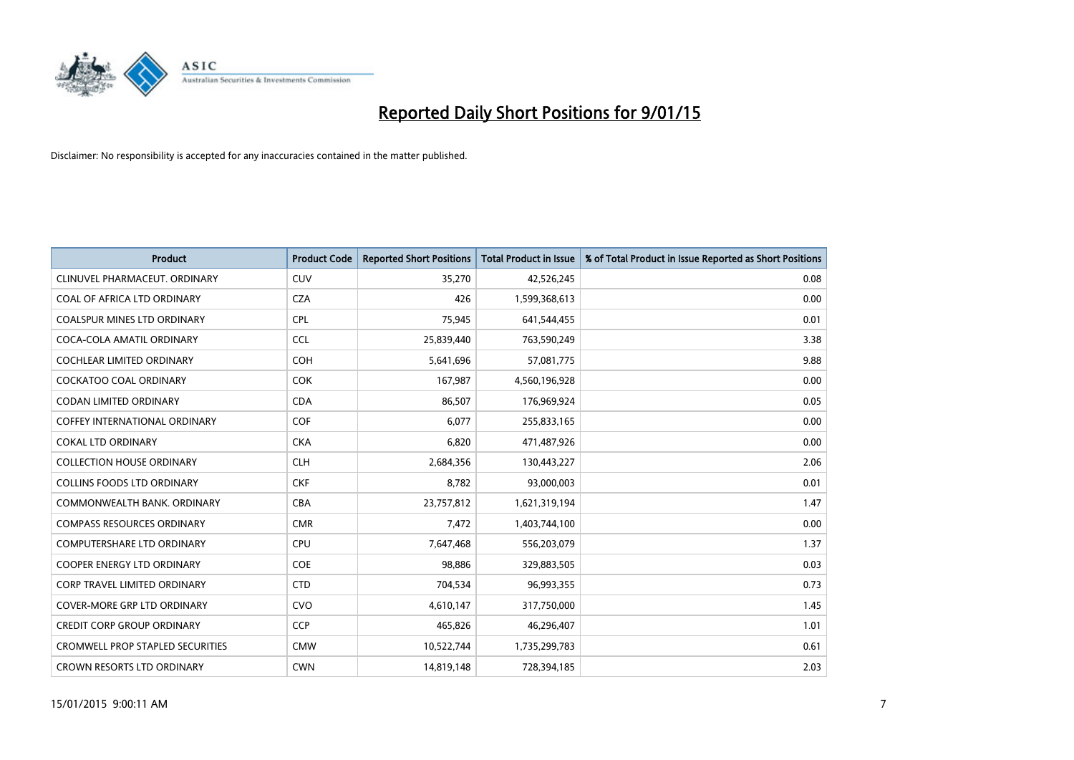

| <b>Product</b>                          | <b>Product Code</b> | <b>Reported Short Positions</b> | <b>Total Product in Issue</b> | % of Total Product in Issue Reported as Short Positions |
|-----------------------------------------|---------------------|---------------------------------|-------------------------------|---------------------------------------------------------|
| CLINUVEL PHARMACEUT, ORDINARY           | CUV                 | 35,270                          | 42,526,245                    | 0.08                                                    |
| COAL OF AFRICA LTD ORDINARY             | <b>CZA</b>          | 426                             | 1,599,368,613                 | 0.00                                                    |
| COALSPUR MINES LTD ORDINARY             | <b>CPL</b>          | 75,945                          | 641,544,455                   | 0.01                                                    |
| COCA-COLA AMATIL ORDINARY               | <b>CCL</b>          | 25,839,440                      | 763,590,249                   | 3.38                                                    |
| <b>COCHLEAR LIMITED ORDINARY</b>        | <b>COH</b>          | 5,641,696                       | 57,081,775                    | 9.88                                                    |
| <b>COCKATOO COAL ORDINARY</b>           | <b>COK</b>          | 167,987                         | 4,560,196,928                 | 0.00                                                    |
| <b>CODAN LIMITED ORDINARY</b>           | <b>CDA</b>          | 86,507                          | 176,969,924                   | 0.05                                                    |
| <b>COFFEY INTERNATIONAL ORDINARY</b>    | <b>COF</b>          | 6,077                           | 255,833,165                   | 0.00                                                    |
| <b>COKAL LTD ORDINARY</b>               | <b>CKA</b>          | 6,820                           | 471,487,926                   | 0.00                                                    |
| <b>COLLECTION HOUSE ORDINARY</b>        | <b>CLH</b>          | 2,684,356                       | 130,443,227                   | 2.06                                                    |
| <b>COLLINS FOODS LTD ORDINARY</b>       | <b>CKF</b>          | 8,782                           | 93,000,003                    | 0.01                                                    |
| COMMONWEALTH BANK, ORDINARY             | <b>CBA</b>          | 23,757,812                      | 1,621,319,194                 | 1.47                                                    |
| <b>COMPASS RESOURCES ORDINARY</b>       | <b>CMR</b>          | 7,472                           | 1,403,744,100                 | 0.00                                                    |
| <b>COMPUTERSHARE LTD ORDINARY</b>       | <b>CPU</b>          | 7,647,468                       | 556,203,079                   | 1.37                                                    |
| <b>COOPER ENERGY LTD ORDINARY</b>       | <b>COE</b>          | 98,886                          | 329,883,505                   | 0.03                                                    |
| <b>CORP TRAVEL LIMITED ORDINARY</b>     | <b>CTD</b>          | 704,534                         | 96,993,355                    | 0.73                                                    |
| COVER-MORE GRP LTD ORDINARY             | <b>CVO</b>          | 4,610,147                       | 317,750,000                   | 1.45                                                    |
| <b>CREDIT CORP GROUP ORDINARY</b>       | <b>CCP</b>          | 465,826                         | 46,296,407                    | 1.01                                                    |
| <b>CROMWELL PROP STAPLED SECURITIES</b> | <b>CMW</b>          | 10,522,744                      | 1,735,299,783                 | 0.61                                                    |
| CROWN RESORTS LTD ORDINARY              | <b>CWN</b>          | 14,819,148                      | 728,394,185                   | 2.03                                                    |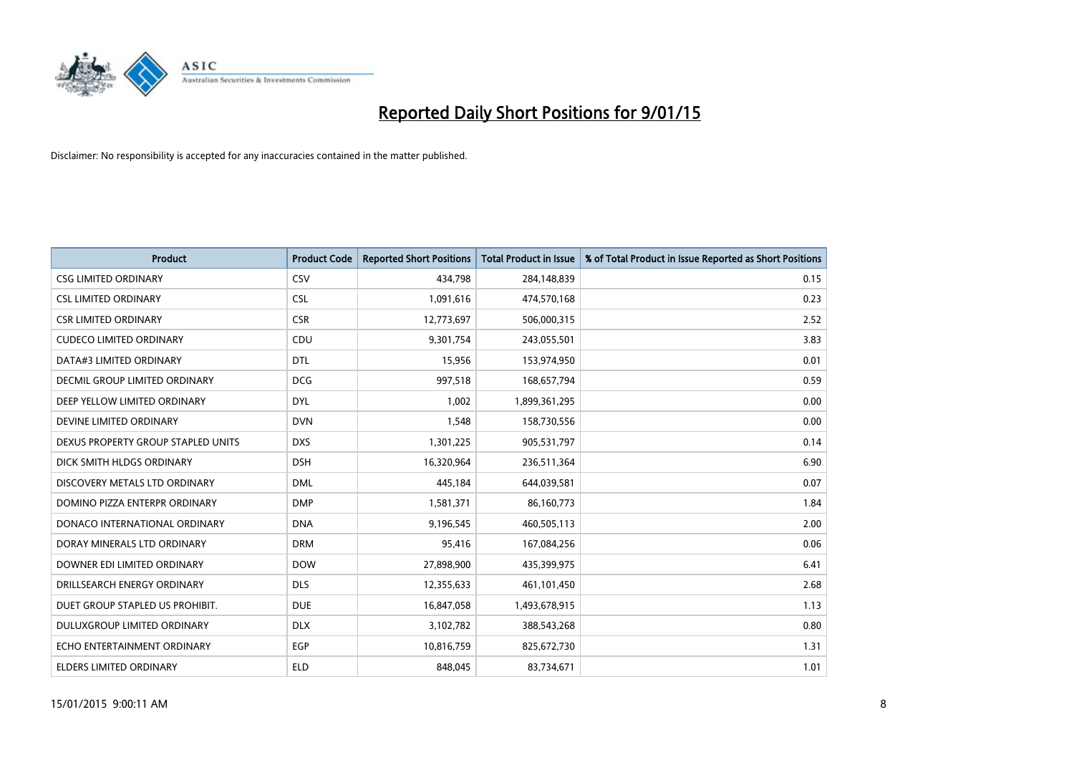

| <b>Product</b>                     | <b>Product Code</b> | <b>Reported Short Positions</b> | <b>Total Product in Issue</b> | % of Total Product in Issue Reported as Short Positions |
|------------------------------------|---------------------|---------------------------------|-------------------------------|---------------------------------------------------------|
| <b>CSG LIMITED ORDINARY</b>        | CSV                 | 434,798                         | 284,148,839                   | 0.15                                                    |
| <b>CSL LIMITED ORDINARY</b>        | <b>CSL</b>          | 1,091,616                       | 474,570,168                   | 0.23                                                    |
| <b>CSR LIMITED ORDINARY</b>        | <b>CSR</b>          | 12,773,697                      | 506,000,315                   | 2.52                                                    |
| <b>CUDECO LIMITED ORDINARY</b>     | CDU                 | 9,301,754                       | 243,055,501                   | 3.83                                                    |
| DATA#3 LIMITED ORDINARY            | <b>DTL</b>          | 15,956                          | 153,974,950                   | 0.01                                                    |
| DECMIL GROUP LIMITED ORDINARY      | <b>DCG</b>          | 997,518                         | 168,657,794                   | 0.59                                                    |
| DEEP YELLOW LIMITED ORDINARY       | <b>DYL</b>          | 1,002                           | 1,899,361,295                 | 0.00                                                    |
| DEVINE LIMITED ORDINARY            | <b>DVN</b>          | 1,548                           | 158,730,556                   | 0.00                                                    |
| DEXUS PROPERTY GROUP STAPLED UNITS | <b>DXS</b>          | 1,301,225                       | 905,531,797                   | 0.14                                                    |
| DICK SMITH HLDGS ORDINARY          | <b>DSH</b>          | 16,320,964                      | 236,511,364                   | 6.90                                                    |
| DISCOVERY METALS LTD ORDINARY      | <b>DML</b>          | 445,184                         | 644,039,581                   | 0.07                                                    |
| DOMINO PIZZA ENTERPR ORDINARY      | <b>DMP</b>          | 1,581,371                       | 86,160,773                    | 1.84                                                    |
| DONACO INTERNATIONAL ORDINARY      | <b>DNA</b>          | 9,196,545                       | 460,505,113                   | 2.00                                                    |
| DORAY MINERALS LTD ORDINARY        | <b>DRM</b>          | 95,416                          | 167,084,256                   | 0.06                                                    |
| DOWNER EDI LIMITED ORDINARY        | <b>DOW</b>          | 27,898,900                      | 435,399,975                   | 6.41                                                    |
| DRILLSEARCH ENERGY ORDINARY        | <b>DLS</b>          | 12,355,633                      | 461,101,450                   | 2.68                                                    |
| DUET GROUP STAPLED US PROHIBIT.    | <b>DUE</b>          | 16,847,058                      | 1,493,678,915                 | 1.13                                                    |
| <b>DULUXGROUP LIMITED ORDINARY</b> | <b>DLX</b>          | 3,102,782                       | 388,543,268                   | 0.80                                                    |
| ECHO ENTERTAINMENT ORDINARY        | <b>EGP</b>          | 10,816,759                      | 825,672,730                   | 1.31                                                    |
| ELDERS LIMITED ORDINARY            | <b>ELD</b>          | 848,045                         | 83,734,671                    | 1.01                                                    |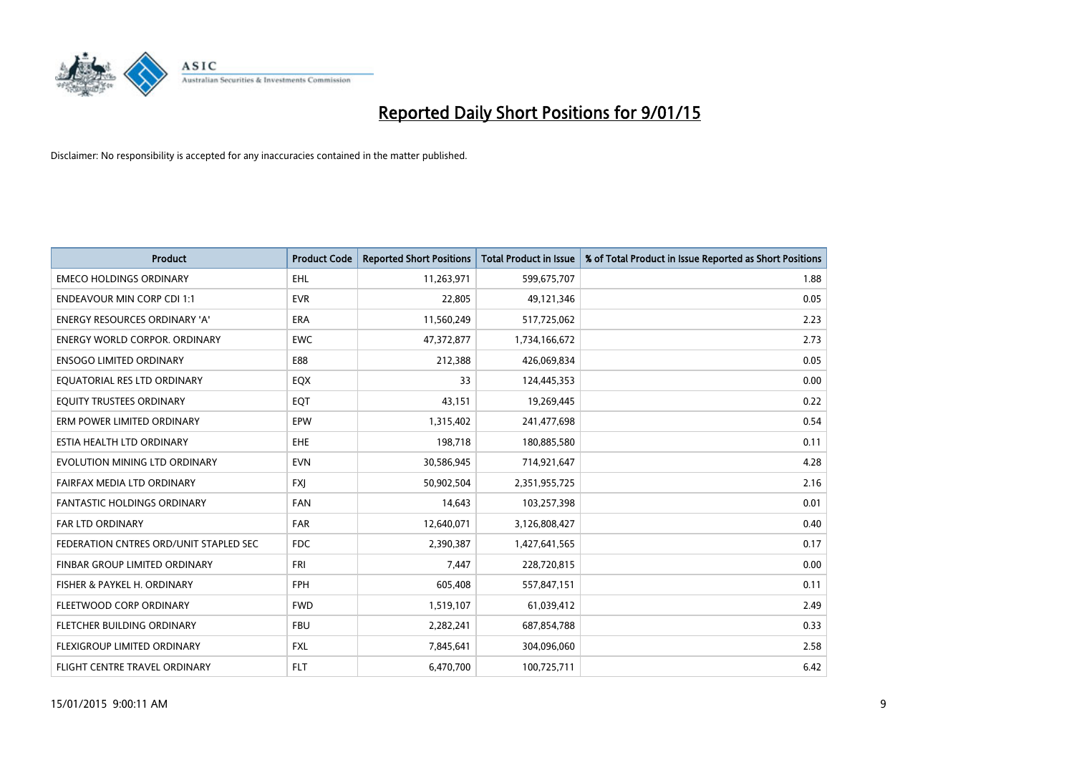

| <b>Product</b>                         | <b>Product Code</b> | <b>Reported Short Positions</b> | <b>Total Product in Issue</b> | % of Total Product in Issue Reported as Short Positions |
|----------------------------------------|---------------------|---------------------------------|-------------------------------|---------------------------------------------------------|
| <b>EMECO HOLDINGS ORDINARY</b>         | <b>EHL</b>          | 11,263,971                      | 599,675,707                   | 1.88                                                    |
| <b>ENDEAVOUR MIN CORP CDI 1:1</b>      | <b>EVR</b>          | 22,805                          | 49,121,346                    | 0.05                                                    |
| ENERGY RESOURCES ORDINARY 'A'          | ERA                 | 11,560,249                      | 517,725,062                   | 2.23                                                    |
| <b>ENERGY WORLD CORPOR, ORDINARY</b>   | <b>EWC</b>          | 47,372,877                      | 1,734,166,672                 | 2.73                                                    |
| <b>ENSOGO LIMITED ORDINARY</b>         | E88                 | 212,388                         | 426,069,834                   | 0.05                                                    |
| EQUATORIAL RES LTD ORDINARY            | EQX                 | 33                              | 124,445,353                   | 0.00                                                    |
| EQUITY TRUSTEES ORDINARY               | EQT                 | 43,151                          | 19,269,445                    | 0.22                                                    |
| ERM POWER LIMITED ORDINARY             | EPW                 | 1,315,402                       | 241,477,698                   | 0.54                                                    |
| ESTIA HEALTH LTD ORDINARY              | EHE                 | 198,718                         | 180,885,580                   | 0.11                                                    |
| EVOLUTION MINING LTD ORDINARY          | <b>EVN</b>          | 30,586,945                      | 714,921,647                   | 4.28                                                    |
| FAIRFAX MEDIA LTD ORDINARY             | <b>FXJ</b>          | 50,902,504                      | 2,351,955,725                 | 2.16                                                    |
| <b>FANTASTIC HOLDINGS ORDINARY</b>     | FAN                 | 14,643                          | 103,257,398                   | 0.01                                                    |
| FAR LTD ORDINARY                       | <b>FAR</b>          | 12,640,071                      | 3,126,808,427                 | 0.40                                                    |
| FEDERATION CNTRES ORD/UNIT STAPLED SEC | <b>FDC</b>          | 2,390,387                       | 1,427,641,565                 | 0.17                                                    |
| FINBAR GROUP LIMITED ORDINARY          | <b>FRI</b>          | 7,447                           | 228,720,815                   | 0.00                                                    |
| FISHER & PAYKEL H. ORDINARY            | <b>FPH</b>          | 605,408                         | 557,847,151                   | 0.11                                                    |
| FLEETWOOD CORP ORDINARY                | <b>FWD</b>          | 1,519,107                       | 61,039,412                    | 2.49                                                    |
| FLETCHER BUILDING ORDINARY             | <b>FBU</b>          | 2,282,241                       | 687,854,788                   | 0.33                                                    |
| FLEXIGROUP LIMITED ORDINARY            | <b>FXL</b>          | 7,845,641                       | 304,096,060                   | 2.58                                                    |
| FLIGHT CENTRE TRAVEL ORDINARY          | FLT                 | 6,470,700                       | 100,725,711                   | 6.42                                                    |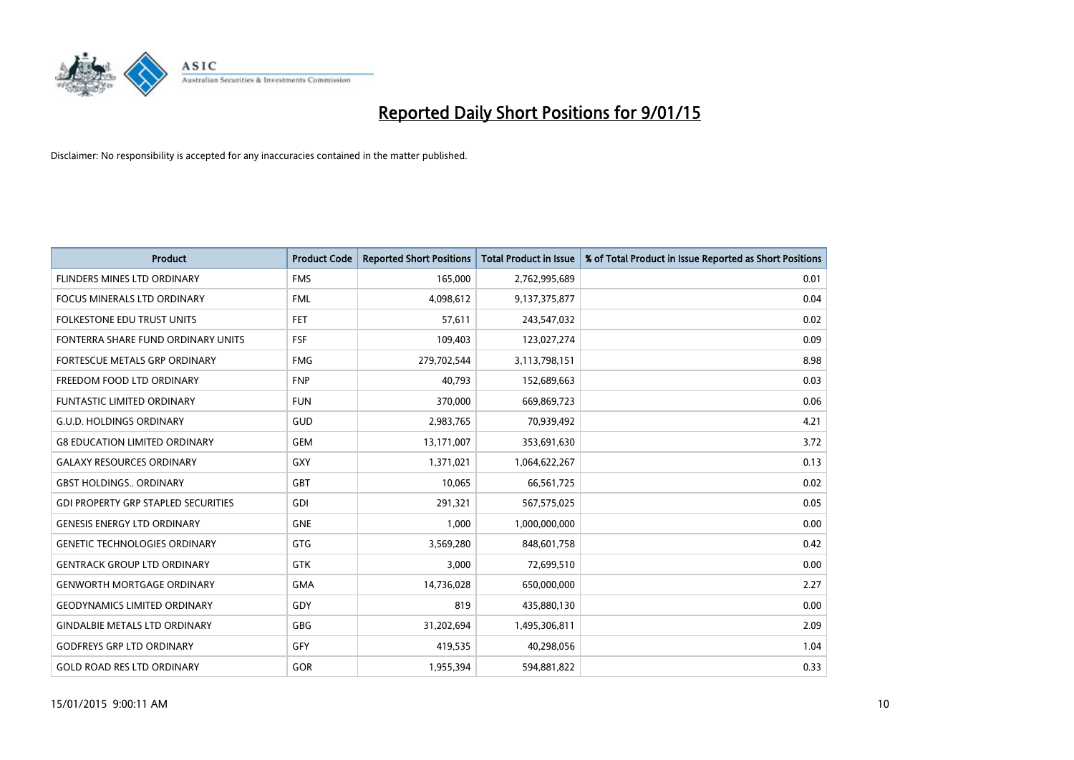

| <b>Product</b>                             | <b>Product Code</b> | <b>Reported Short Positions</b> | <b>Total Product in Issue</b> | % of Total Product in Issue Reported as Short Positions |
|--------------------------------------------|---------------------|---------------------------------|-------------------------------|---------------------------------------------------------|
| <b>FLINDERS MINES LTD ORDINARY</b>         | <b>FMS</b>          | 165,000                         | 2,762,995,689                 | 0.01                                                    |
| FOCUS MINERALS LTD ORDINARY                | <b>FML</b>          | 4,098,612                       | 9,137,375,877                 | 0.04                                                    |
| FOLKESTONE EDU TRUST UNITS                 | <b>FET</b>          | 57,611                          | 243,547,032                   | 0.02                                                    |
| FONTERRA SHARE FUND ORDINARY UNITS         | <b>FSF</b>          | 109,403                         | 123,027,274                   | 0.09                                                    |
| FORTESCUE METALS GRP ORDINARY              | <b>FMG</b>          | 279,702,544                     | 3,113,798,151                 | 8.98                                                    |
| FREEDOM FOOD LTD ORDINARY                  | <b>FNP</b>          | 40,793                          | 152,689,663                   | 0.03                                                    |
| <b>FUNTASTIC LIMITED ORDINARY</b>          | <b>FUN</b>          | 370,000                         | 669,869,723                   | 0.06                                                    |
| <b>G.U.D. HOLDINGS ORDINARY</b>            | GUD                 | 2,983,765                       | 70,939,492                    | 4.21                                                    |
| <b>G8 EDUCATION LIMITED ORDINARY</b>       | <b>GEM</b>          | 13,171,007                      | 353,691,630                   | 3.72                                                    |
| <b>GALAXY RESOURCES ORDINARY</b>           | GXY                 | 1,371,021                       | 1,064,622,267                 | 0.13                                                    |
| <b>GBST HOLDINGS ORDINARY</b>              | GBT                 | 10,065                          | 66,561,725                    | 0.02                                                    |
| <b>GDI PROPERTY GRP STAPLED SECURITIES</b> | GDI                 | 291,321                         | 567,575,025                   | 0.05                                                    |
| <b>GENESIS ENERGY LTD ORDINARY</b>         | <b>GNE</b>          | 1,000                           | 1,000,000,000                 | 0.00                                                    |
| <b>GENETIC TECHNOLOGIES ORDINARY</b>       | GTG                 | 3,569,280                       | 848,601,758                   | 0.42                                                    |
| <b>GENTRACK GROUP LTD ORDINARY</b>         | <b>GTK</b>          | 3,000                           | 72,699,510                    | 0.00                                                    |
| <b>GENWORTH MORTGAGE ORDINARY</b>          | <b>GMA</b>          | 14,736,028                      | 650,000,000                   | 2.27                                                    |
| <b>GEODYNAMICS LIMITED ORDINARY</b>        | GDY                 | 819                             | 435,880,130                   | 0.00                                                    |
| <b>GINDALBIE METALS LTD ORDINARY</b>       | GBG                 | 31,202,694                      | 1,495,306,811                 | 2.09                                                    |
| <b>GODFREYS GRP LTD ORDINARY</b>           | GFY                 | 419,535                         | 40,298,056                    | 1.04                                                    |
| <b>GOLD ROAD RES LTD ORDINARY</b>          | GOR                 | 1,955,394                       | 594,881,822                   | 0.33                                                    |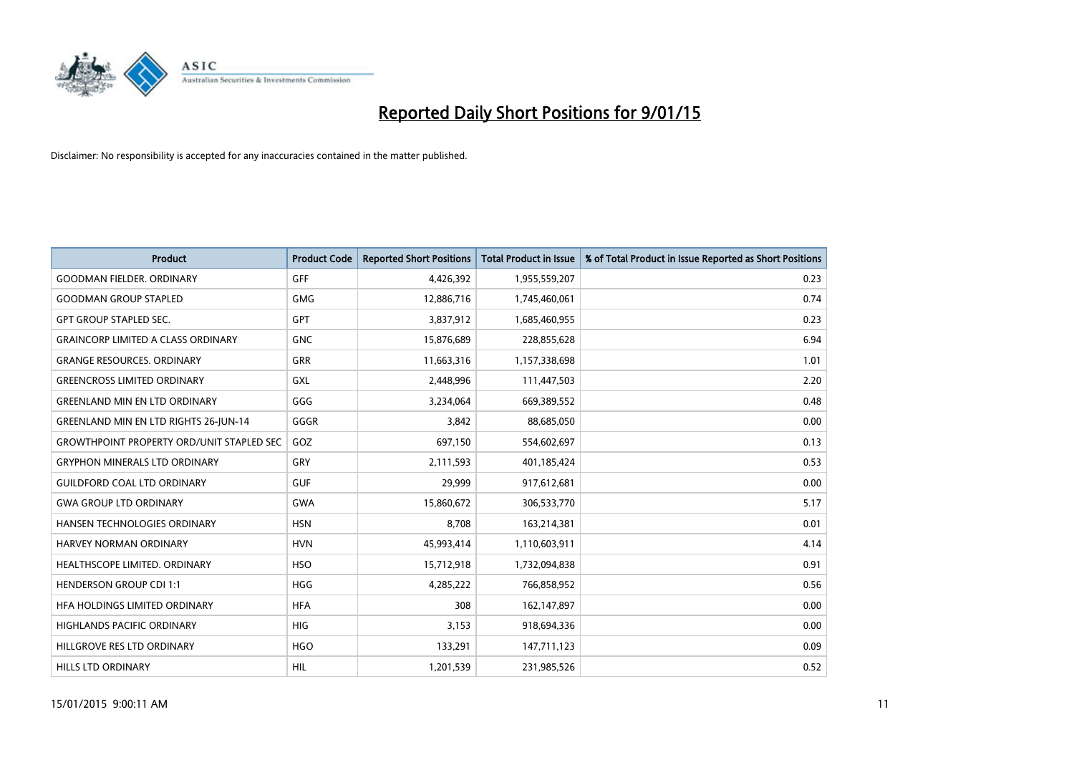

| <b>Product</b>                                   | <b>Product Code</b> | <b>Reported Short Positions</b> | <b>Total Product in Issue</b> | % of Total Product in Issue Reported as Short Positions |
|--------------------------------------------------|---------------------|---------------------------------|-------------------------------|---------------------------------------------------------|
| <b>GOODMAN FIELDER, ORDINARY</b>                 | <b>GFF</b>          | 4,426,392                       | 1,955,559,207                 | 0.23                                                    |
| <b>GOODMAN GROUP STAPLED</b>                     | <b>GMG</b>          | 12,886,716                      | 1,745,460,061                 | 0.74                                                    |
| <b>GPT GROUP STAPLED SEC.</b>                    | <b>GPT</b>          | 3,837,912                       | 1,685,460,955                 | 0.23                                                    |
| <b>GRAINCORP LIMITED A CLASS ORDINARY</b>        | <b>GNC</b>          | 15,876,689                      | 228,855,628                   | 6.94                                                    |
| <b>GRANGE RESOURCES, ORDINARY</b>                | <b>GRR</b>          | 11,663,316                      | 1,157,338,698                 | 1.01                                                    |
| <b>GREENCROSS LIMITED ORDINARY</b>               | <b>GXL</b>          | 2,448,996                       | 111,447,503                   | 2.20                                                    |
| <b>GREENLAND MIN EN LTD ORDINARY</b>             | GGG                 | 3,234,064                       | 669,389,552                   | 0.48                                                    |
| <b>GREENLAND MIN EN LTD RIGHTS 26-JUN-14</b>     | GGGR                | 3,842                           | 88,685,050                    | 0.00                                                    |
| <b>GROWTHPOINT PROPERTY ORD/UNIT STAPLED SEC</b> | GOZ                 | 697,150                         | 554,602,697                   | 0.13                                                    |
| <b>GRYPHON MINERALS LTD ORDINARY</b>             | GRY                 | 2,111,593                       | 401,185,424                   | 0.53                                                    |
| <b>GUILDFORD COAL LTD ORDINARY</b>               | <b>GUF</b>          | 29,999                          | 917,612,681                   | 0.00                                                    |
| <b>GWA GROUP LTD ORDINARY</b>                    | <b>GWA</b>          | 15,860,672                      | 306,533,770                   | 5.17                                                    |
| HANSEN TECHNOLOGIES ORDINARY                     | <b>HSN</b>          | 8,708                           | 163,214,381                   | 0.01                                                    |
| <b>HARVEY NORMAN ORDINARY</b>                    | <b>HVN</b>          | 45,993,414                      | 1,110,603,911                 | 4.14                                                    |
| HEALTHSCOPE LIMITED. ORDINARY                    | <b>HSO</b>          | 15,712,918                      | 1,732,094,838                 | 0.91                                                    |
| <b>HENDERSON GROUP CDI 1:1</b>                   | <b>HGG</b>          | 4,285,222                       | 766,858,952                   | 0.56                                                    |
| HFA HOLDINGS LIMITED ORDINARY                    | <b>HFA</b>          | 308                             | 162,147,897                   | 0.00                                                    |
| HIGHLANDS PACIFIC ORDINARY                       | <b>HIG</b>          | 3,153                           | 918,694,336                   | 0.00                                                    |
| HILLGROVE RES LTD ORDINARY                       | <b>HGO</b>          | 133,291                         | 147,711,123                   | 0.09                                                    |
| <b>HILLS LTD ORDINARY</b>                        | HIL                 | 1,201,539                       | 231,985,526                   | 0.52                                                    |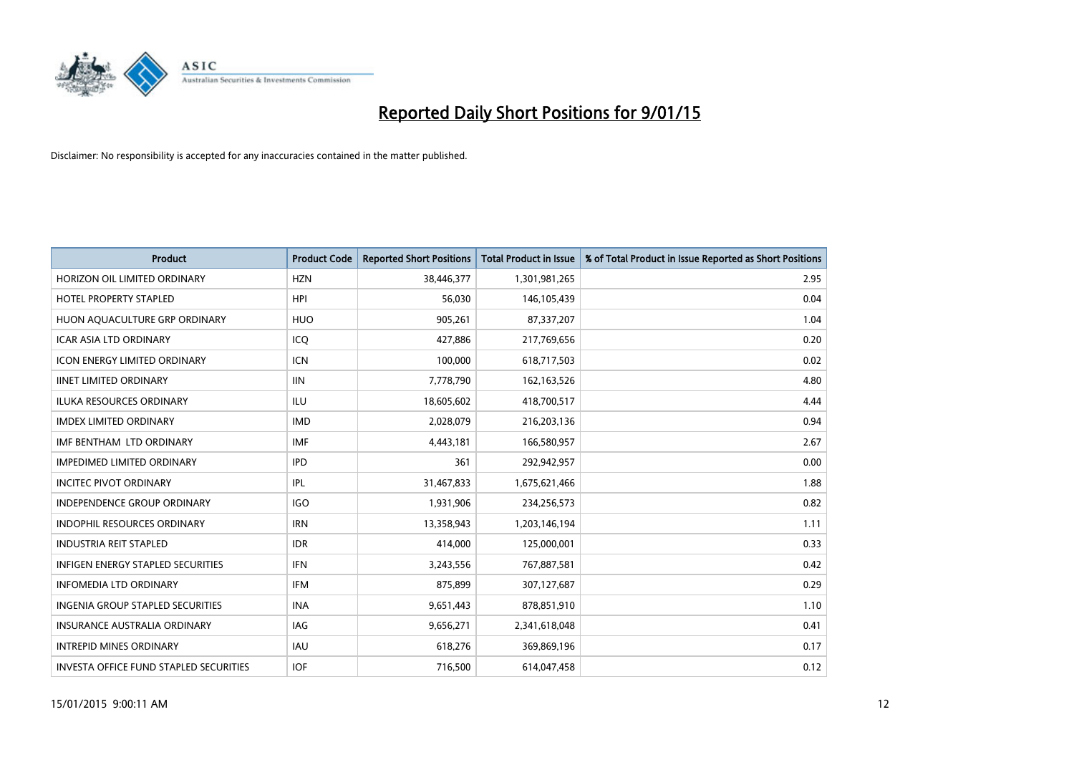

| Product                                       | <b>Product Code</b> | <b>Reported Short Positions</b> | <b>Total Product in Issue</b> | % of Total Product in Issue Reported as Short Positions |
|-----------------------------------------------|---------------------|---------------------------------|-------------------------------|---------------------------------------------------------|
| HORIZON OIL LIMITED ORDINARY                  | <b>HZN</b>          | 38,446,377                      | 1,301,981,265                 | 2.95                                                    |
| <b>HOTEL PROPERTY STAPLED</b>                 | <b>HPI</b>          | 56,030                          | 146,105,439                   | 0.04                                                    |
| HUON AQUACULTURE GRP ORDINARY                 | <b>HUO</b>          | 905,261                         | 87,337,207                    | 1.04                                                    |
| <b>ICAR ASIA LTD ORDINARY</b>                 | ICO                 | 427,886                         | 217,769,656                   | 0.20                                                    |
| <b>ICON ENERGY LIMITED ORDINARY</b>           | <b>ICN</b>          | 100,000                         | 618,717,503                   | 0.02                                                    |
| <b>IINET LIMITED ORDINARY</b>                 | <b>IIN</b>          | 7,778,790                       | 162,163,526                   | 4.80                                                    |
| <b>ILUKA RESOURCES ORDINARY</b>               | <b>ILU</b>          | 18,605,602                      | 418,700,517                   | 4.44                                                    |
| <b>IMDEX LIMITED ORDINARY</b>                 | <b>IMD</b>          | 2,028,079                       | 216,203,136                   | 0.94                                                    |
| IMF BENTHAM LTD ORDINARY                      | <b>IMF</b>          | 4,443,181                       | 166,580,957                   | 2.67                                                    |
| <b>IMPEDIMED LIMITED ORDINARY</b>             | <b>IPD</b>          | 361                             | 292,942,957                   | 0.00                                                    |
| <b>INCITEC PIVOT ORDINARY</b>                 | IPL                 | 31,467,833                      | 1,675,621,466                 | 1.88                                                    |
| <b>INDEPENDENCE GROUP ORDINARY</b>            | <b>IGO</b>          | 1,931,906                       | 234,256,573                   | 0.82                                                    |
| <b>INDOPHIL RESOURCES ORDINARY</b>            | <b>IRN</b>          | 13,358,943                      | 1,203,146,194                 | 1.11                                                    |
| <b>INDUSTRIA REIT STAPLED</b>                 | <b>IDR</b>          | 414,000                         | 125,000,001                   | 0.33                                                    |
| <b>INFIGEN ENERGY STAPLED SECURITIES</b>      | <b>IFN</b>          | 3,243,556                       | 767,887,581                   | 0.42                                                    |
| <b>INFOMEDIA LTD ORDINARY</b>                 | IFM                 | 875,899                         | 307,127,687                   | 0.29                                                    |
| <b>INGENIA GROUP STAPLED SECURITIES</b>       | <b>INA</b>          | 9,651,443                       | 878,851,910                   | 1.10                                                    |
| <b>INSURANCE AUSTRALIA ORDINARY</b>           | <b>IAG</b>          | 9,656,271                       | 2,341,618,048                 | 0.41                                                    |
| <b>INTREPID MINES ORDINARY</b>                | <b>IAU</b>          | 618,276                         | 369,869,196                   | 0.17                                                    |
| <b>INVESTA OFFICE FUND STAPLED SECURITIES</b> | <b>IOF</b>          | 716,500                         | 614,047,458                   | 0.12                                                    |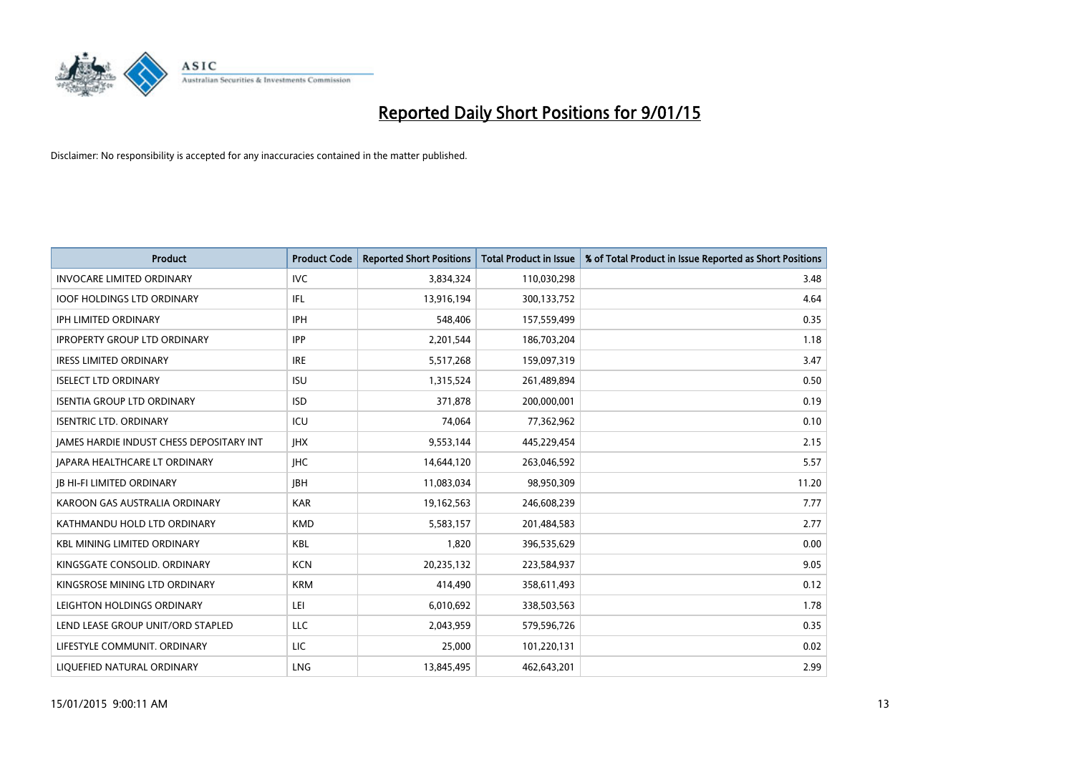

| <b>Product</b>                           | <b>Product Code</b> | <b>Reported Short Positions</b> | <b>Total Product in Issue</b> | % of Total Product in Issue Reported as Short Positions |
|------------------------------------------|---------------------|---------------------------------|-------------------------------|---------------------------------------------------------|
| <b>INVOCARE LIMITED ORDINARY</b>         | <b>IVC</b>          | 3,834,324                       | 110,030,298                   | 3.48                                                    |
| <b>IOOF HOLDINGS LTD ORDINARY</b>        | IFL                 | 13,916,194                      | 300,133,752                   | 4.64                                                    |
| <b>IPH LIMITED ORDINARY</b>              | <b>IPH</b>          | 548,406                         | 157,559,499                   | 0.35                                                    |
| <b>IPROPERTY GROUP LTD ORDINARY</b>      | <b>IPP</b>          | 2,201,544                       | 186,703,204                   | 1.18                                                    |
| <b>IRESS LIMITED ORDINARY</b>            | <b>IRE</b>          | 5,517,268                       | 159,097,319                   | 3.47                                                    |
| <b>ISELECT LTD ORDINARY</b>              | <b>ISU</b>          | 1,315,524                       | 261,489,894                   | 0.50                                                    |
| <b>ISENTIA GROUP LTD ORDINARY</b>        | <b>ISD</b>          | 371,878                         | 200,000,001                   | 0.19                                                    |
| <b>ISENTRIC LTD. ORDINARY</b>            | ICU                 | 74,064                          | 77,362,962                    | 0.10                                                    |
| JAMES HARDIE INDUST CHESS DEPOSITARY INT | <b>IHX</b>          | 9,553,144                       | 445,229,454                   | 2.15                                                    |
| <b>JAPARA HEALTHCARE LT ORDINARY</b>     | <b>IHC</b>          | 14,644,120                      | 263,046,592                   | 5.57                                                    |
| <b>JB HI-FI LIMITED ORDINARY</b>         | <b>IBH</b>          | 11,083,034                      | 98,950,309                    | 11.20                                                   |
| KAROON GAS AUSTRALIA ORDINARY            | <b>KAR</b>          | 19,162,563                      | 246,608,239                   | 7.77                                                    |
| KATHMANDU HOLD LTD ORDINARY              | <b>KMD</b>          | 5,583,157                       | 201,484,583                   | 2.77                                                    |
| <b>KBL MINING LIMITED ORDINARY</b>       | KBL                 | 1,820                           | 396,535,629                   | 0.00                                                    |
| KINGSGATE CONSOLID. ORDINARY             | <b>KCN</b>          | 20,235,132                      | 223,584,937                   | 9.05                                                    |
| KINGSROSE MINING LTD ORDINARY            | <b>KRM</b>          | 414,490                         | 358,611,493                   | 0.12                                                    |
| LEIGHTON HOLDINGS ORDINARY               | LEI                 | 6,010,692                       | 338,503,563                   | 1.78                                                    |
| LEND LEASE GROUP UNIT/ORD STAPLED        | <b>LLC</b>          | 2,043,959                       | 579,596,726                   | 0.35                                                    |
| LIFESTYLE COMMUNIT. ORDINARY             | LIC                 | 25,000                          | 101,220,131                   | 0.02                                                    |
| LIQUEFIED NATURAL ORDINARY               | LNG                 | 13,845,495                      | 462,643,201                   | 2.99                                                    |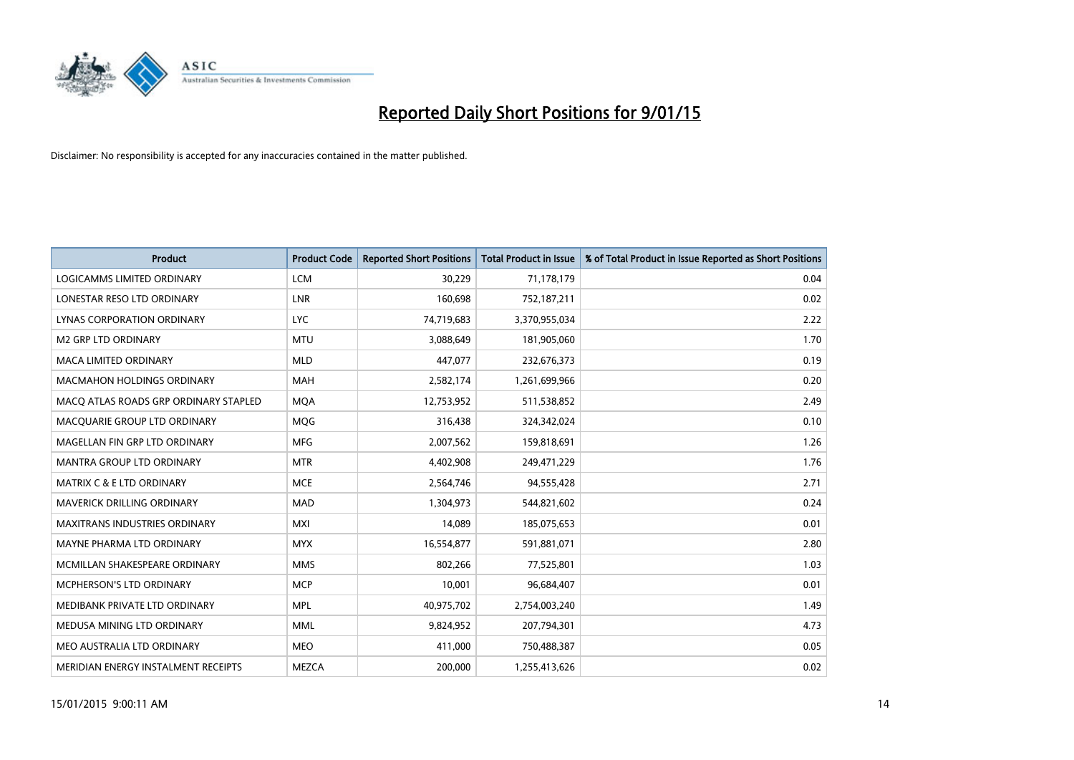

| <b>Product</b>                        | <b>Product Code</b> | <b>Reported Short Positions</b> | <b>Total Product in Issue</b> | % of Total Product in Issue Reported as Short Positions |
|---------------------------------------|---------------------|---------------------------------|-------------------------------|---------------------------------------------------------|
| <b>LOGICAMMS LIMITED ORDINARY</b>     | <b>LCM</b>          | 30,229                          | 71,178,179                    | 0.04                                                    |
| LONESTAR RESO LTD ORDINARY            | LNR                 | 160,698                         | 752,187,211                   | 0.02                                                    |
| <b>LYNAS CORPORATION ORDINARY</b>     | <b>LYC</b>          | 74,719,683                      | 3,370,955,034                 | 2.22                                                    |
| <b>M2 GRP LTD ORDINARY</b>            | <b>MTU</b>          | 3,088,649                       | 181,905,060                   | 1.70                                                    |
| <b>MACA LIMITED ORDINARY</b>          | <b>MLD</b>          | 447,077                         | 232,676,373                   | 0.19                                                    |
| <b>MACMAHON HOLDINGS ORDINARY</b>     | <b>MAH</b>          | 2,582,174                       | 1,261,699,966                 | 0.20                                                    |
| MACO ATLAS ROADS GRP ORDINARY STAPLED | <b>MQA</b>          | 12,753,952                      | 511,538,852                   | 2.49                                                    |
| MACQUARIE GROUP LTD ORDINARY          | MQG                 | 316,438                         | 324,342,024                   | 0.10                                                    |
| MAGELLAN FIN GRP LTD ORDINARY         | <b>MFG</b>          | 2,007,562                       | 159,818,691                   | 1.26                                                    |
| <b>MANTRA GROUP LTD ORDINARY</b>      | <b>MTR</b>          | 4,402,908                       | 249,471,229                   | 1.76                                                    |
| <b>MATRIX C &amp; E LTD ORDINARY</b>  | <b>MCE</b>          | 2,564,746                       | 94,555,428                    | 2.71                                                    |
| <b>MAVERICK DRILLING ORDINARY</b>     | <b>MAD</b>          | 1,304,973                       | 544,821,602                   | 0.24                                                    |
| <b>MAXITRANS INDUSTRIES ORDINARY</b>  | <b>MXI</b>          | 14,089                          | 185,075,653                   | 0.01                                                    |
| MAYNE PHARMA LTD ORDINARY             | <b>MYX</b>          | 16,554,877                      | 591,881,071                   | 2.80                                                    |
| MCMILLAN SHAKESPEARE ORDINARY         | <b>MMS</b>          | 802,266                         | 77,525,801                    | 1.03                                                    |
| MCPHERSON'S LTD ORDINARY              | <b>MCP</b>          | 10,001                          | 96,684,407                    | 0.01                                                    |
| MEDIBANK PRIVATE LTD ORDINARY         | <b>MPL</b>          | 40,975,702                      | 2,754,003,240                 | 1.49                                                    |
| MEDUSA MINING LTD ORDINARY            | <b>MML</b>          | 9,824,952                       | 207,794,301                   | 4.73                                                    |
| MEO AUSTRALIA LTD ORDINARY            | <b>MEO</b>          | 411,000                         | 750,488,387                   | 0.05                                                    |
| MERIDIAN ENERGY INSTALMENT RECEIPTS   | <b>MEZCA</b>        | 200,000                         | 1,255,413,626                 | 0.02                                                    |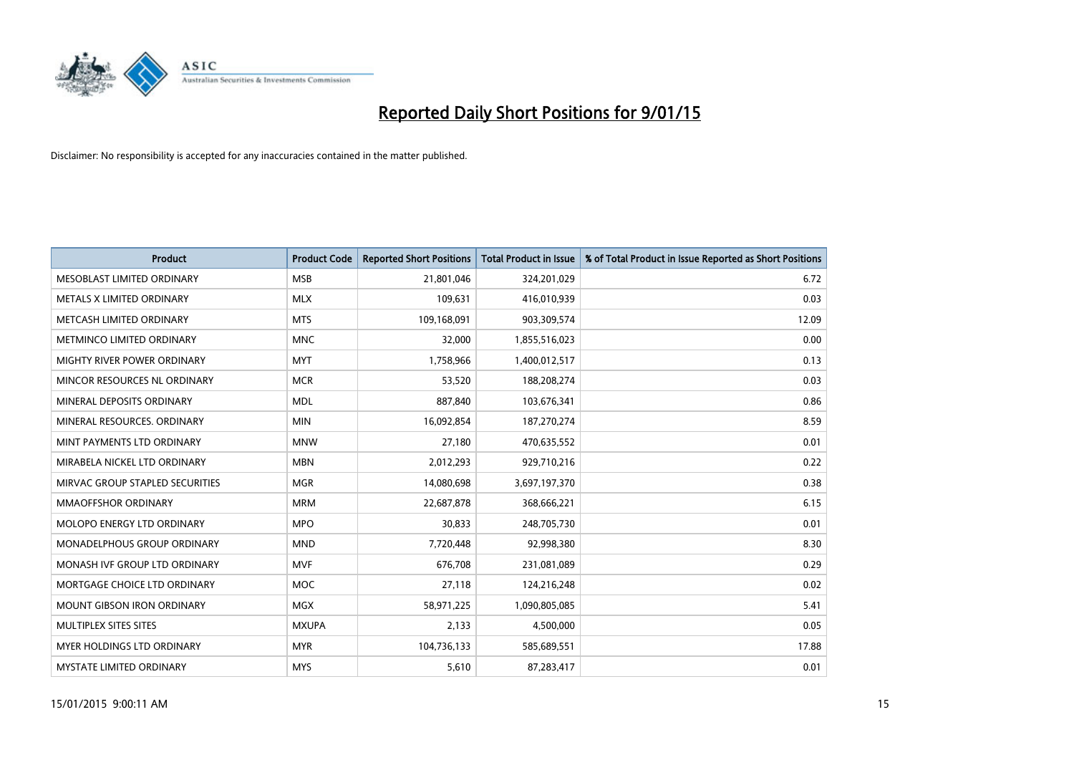

| <b>Product</b>                  | <b>Product Code</b> | <b>Reported Short Positions</b> | <b>Total Product in Issue</b> | % of Total Product in Issue Reported as Short Positions |
|---------------------------------|---------------------|---------------------------------|-------------------------------|---------------------------------------------------------|
| MESOBLAST LIMITED ORDINARY      | <b>MSB</b>          | 21,801,046                      | 324,201,029                   | 6.72                                                    |
| METALS X LIMITED ORDINARY       | <b>MLX</b>          | 109,631                         | 416,010,939                   | 0.03                                                    |
| METCASH LIMITED ORDINARY        | <b>MTS</b>          | 109,168,091                     | 903,309,574                   | 12.09                                                   |
| METMINCO LIMITED ORDINARY       | <b>MNC</b>          | 32,000                          | 1,855,516,023                 | 0.00                                                    |
| MIGHTY RIVER POWER ORDINARY     | <b>MYT</b>          | 1,758,966                       | 1,400,012,517                 | 0.13                                                    |
| MINCOR RESOURCES NL ORDINARY    | <b>MCR</b>          | 53,520                          | 188,208,274                   | 0.03                                                    |
| MINERAL DEPOSITS ORDINARY       | <b>MDL</b>          | 887,840                         | 103,676,341                   | 0.86                                                    |
| MINERAL RESOURCES. ORDINARY     | <b>MIN</b>          | 16,092,854                      | 187,270,274                   | 8.59                                                    |
| MINT PAYMENTS LTD ORDINARY      | <b>MNW</b>          | 27,180                          | 470,635,552                   | 0.01                                                    |
| MIRABELA NICKEL LTD ORDINARY    | <b>MBN</b>          | 2,012,293                       | 929,710,216                   | 0.22                                                    |
| MIRVAC GROUP STAPLED SECURITIES | <b>MGR</b>          | 14,080,698                      | 3,697,197,370                 | 0.38                                                    |
| <b>MMAOFFSHOR ORDINARY</b>      | <b>MRM</b>          | 22,687,878                      | 368,666,221                   | 6.15                                                    |
| MOLOPO ENERGY LTD ORDINARY      | <b>MPO</b>          | 30,833                          | 248,705,730                   | 0.01                                                    |
| MONADELPHOUS GROUP ORDINARY     | <b>MND</b>          | 7,720,448                       | 92,998,380                    | 8.30                                                    |
| MONASH IVF GROUP LTD ORDINARY   | <b>MVF</b>          | 676,708                         | 231,081,089                   | 0.29                                                    |
| MORTGAGE CHOICE LTD ORDINARY    | MOC                 | 27,118                          | 124,216,248                   | 0.02                                                    |
| MOUNT GIBSON IRON ORDINARY      | <b>MGX</b>          | 58,971,225                      | 1,090,805,085                 | 5.41                                                    |
| MULTIPLEX SITES SITES           | <b>MXUPA</b>        | 2,133                           | 4,500,000                     | 0.05                                                    |
| MYER HOLDINGS LTD ORDINARY      | <b>MYR</b>          | 104,736,133                     | 585,689,551                   | 17.88                                                   |
| MYSTATE LIMITED ORDINARY        | <b>MYS</b>          | 5,610                           | 87,283,417                    | 0.01                                                    |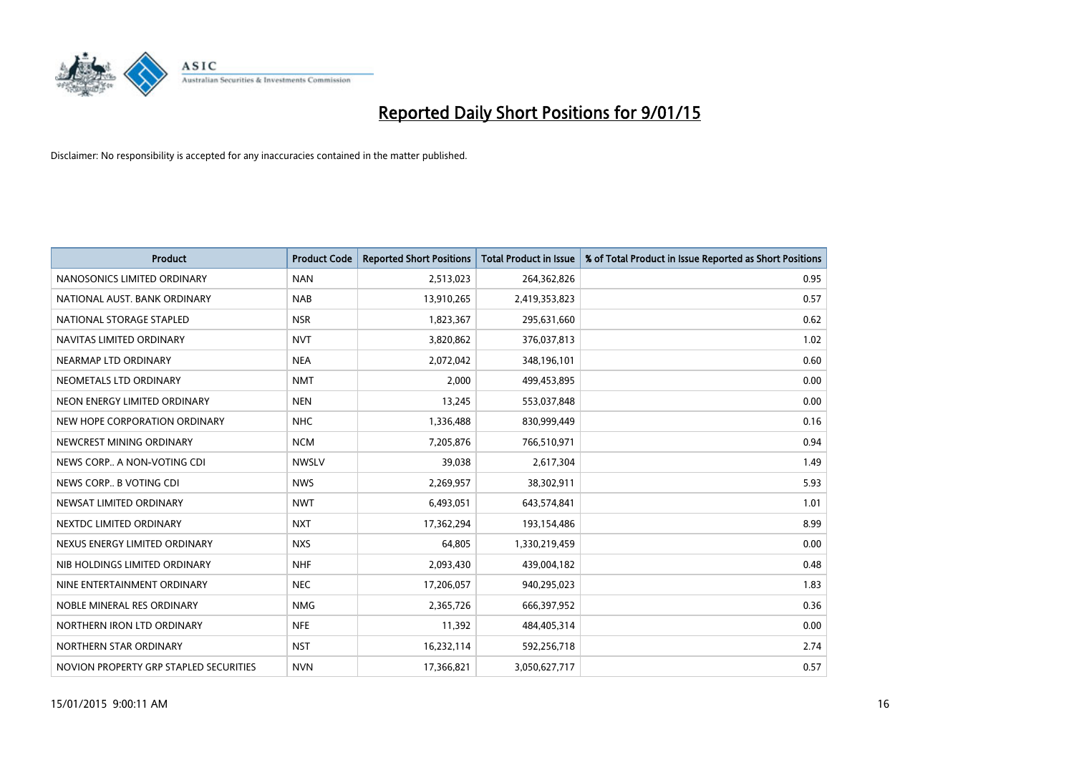

| <b>Product</b>                         | <b>Product Code</b> | <b>Reported Short Positions</b> | <b>Total Product in Issue</b> | % of Total Product in Issue Reported as Short Positions |
|----------------------------------------|---------------------|---------------------------------|-------------------------------|---------------------------------------------------------|
| NANOSONICS LIMITED ORDINARY            | <b>NAN</b>          | 2,513,023                       | 264,362,826                   | 0.95                                                    |
| NATIONAL AUST. BANK ORDINARY           | <b>NAB</b>          | 13,910,265                      | 2,419,353,823                 | 0.57                                                    |
| NATIONAL STORAGE STAPLED               | <b>NSR</b>          | 1,823,367                       | 295,631,660                   | 0.62                                                    |
| NAVITAS LIMITED ORDINARY               | <b>NVT</b>          | 3,820,862                       | 376,037,813                   | 1.02                                                    |
| NEARMAP LTD ORDINARY                   | <b>NEA</b>          | 2,072,042                       | 348,196,101                   | 0.60                                                    |
| NEOMETALS LTD ORDINARY                 | <b>NMT</b>          | 2,000                           | 499,453,895                   | 0.00                                                    |
| NEON ENERGY LIMITED ORDINARY           | <b>NEN</b>          | 13,245                          | 553,037,848                   | 0.00                                                    |
| NEW HOPE CORPORATION ORDINARY          | <b>NHC</b>          | 1,336,488                       | 830,999,449                   | 0.16                                                    |
| NEWCREST MINING ORDINARY               | <b>NCM</b>          | 7,205,876                       | 766,510,971                   | 0.94                                                    |
| NEWS CORP A NON-VOTING CDI             | <b>NWSLV</b>        | 39,038                          | 2,617,304                     | 1.49                                                    |
| NEWS CORP B VOTING CDI                 | <b>NWS</b>          | 2,269,957                       | 38,302,911                    | 5.93                                                    |
| NEWSAT LIMITED ORDINARY                | <b>NWT</b>          | 6,493,051                       | 643,574,841                   | 1.01                                                    |
| NEXTDC LIMITED ORDINARY                | <b>NXT</b>          | 17,362,294                      | 193,154,486                   | 8.99                                                    |
| NEXUS ENERGY LIMITED ORDINARY          | <b>NXS</b>          | 64,805                          | 1,330,219,459                 | 0.00                                                    |
| NIB HOLDINGS LIMITED ORDINARY          | <b>NHF</b>          | 2,093,430                       | 439,004,182                   | 0.48                                                    |
| NINE ENTERTAINMENT ORDINARY            | <b>NEC</b>          | 17,206,057                      | 940,295,023                   | 1.83                                                    |
| NOBLE MINERAL RES ORDINARY             | <b>NMG</b>          | 2,365,726                       | 666,397,952                   | 0.36                                                    |
| NORTHERN IRON LTD ORDINARY             | <b>NFE</b>          | 11,392                          | 484,405,314                   | 0.00                                                    |
| NORTHERN STAR ORDINARY                 | <b>NST</b>          | 16,232,114                      | 592,256,718                   | 2.74                                                    |
| NOVION PROPERTY GRP STAPLED SECURITIES | <b>NVN</b>          | 17,366,821                      | 3,050,627,717                 | 0.57                                                    |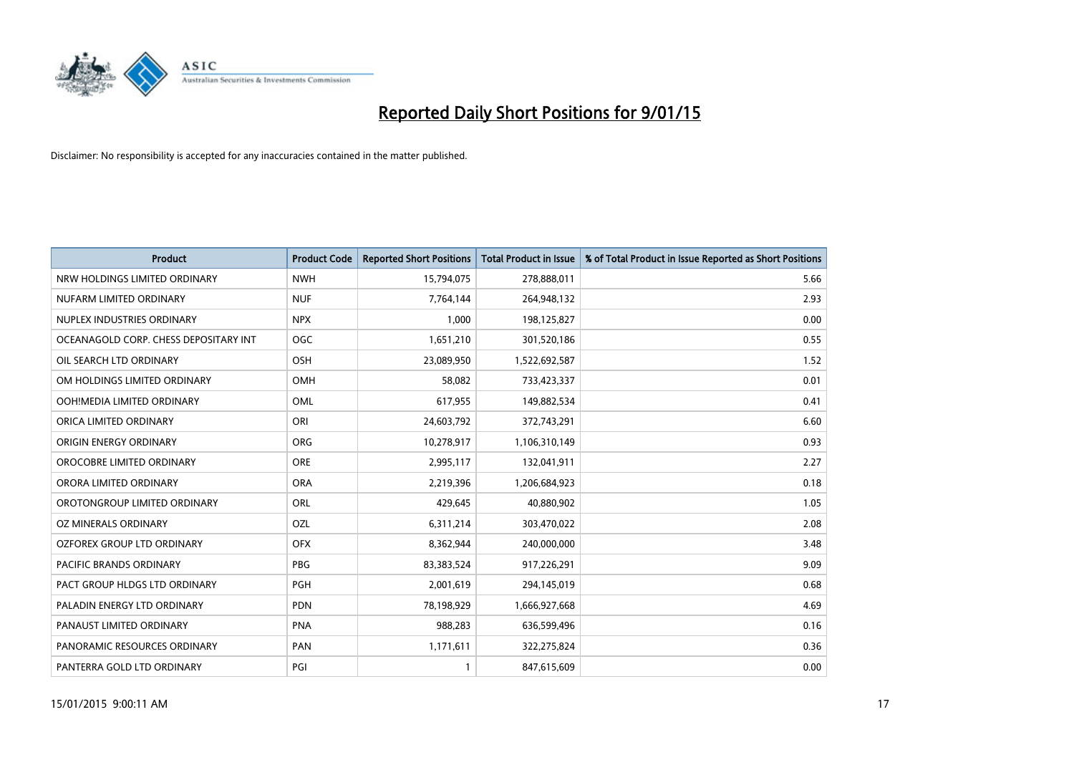

| <b>Product</b>                        | <b>Product Code</b> | <b>Reported Short Positions</b> | <b>Total Product in Issue</b> | % of Total Product in Issue Reported as Short Positions |
|---------------------------------------|---------------------|---------------------------------|-------------------------------|---------------------------------------------------------|
| NRW HOLDINGS LIMITED ORDINARY         | <b>NWH</b>          | 15,794,075                      | 278,888,011                   | 5.66                                                    |
| NUFARM LIMITED ORDINARY               | <b>NUF</b>          | 7,764,144                       | 264,948,132                   | 2.93                                                    |
| NUPLEX INDUSTRIES ORDINARY            | <b>NPX</b>          | 1,000                           | 198,125,827                   | 0.00                                                    |
| OCEANAGOLD CORP. CHESS DEPOSITARY INT | <b>OGC</b>          | 1,651,210                       | 301,520,186                   | 0.55                                                    |
| OIL SEARCH LTD ORDINARY               | <b>OSH</b>          | 23,089,950                      | 1,522,692,587                 | 1.52                                                    |
| OM HOLDINGS LIMITED ORDINARY          | <b>OMH</b>          | 58,082                          | 733,423,337                   | 0.01                                                    |
| OOH!MEDIA LIMITED ORDINARY            | <b>OML</b>          | 617,955                         | 149,882,534                   | 0.41                                                    |
| ORICA LIMITED ORDINARY                | ORI                 | 24,603,792                      | 372,743,291                   | 6.60                                                    |
| ORIGIN ENERGY ORDINARY                | <b>ORG</b>          | 10,278,917                      | 1,106,310,149                 | 0.93                                                    |
| OROCOBRE LIMITED ORDINARY             | <b>ORE</b>          | 2,995,117                       | 132,041,911                   | 2.27                                                    |
| ORORA LIMITED ORDINARY                | <b>ORA</b>          | 2,219,396                       | 1,206,684,923                 | 0.18                                                    |
| OROTONGROUP LIMITED ORDINARY          | ORL                 | 429,645                         | 40,880,902                    | 1.05                                                    |
| OZ MINERALS ORDINARY                  | OZL                 | 6,311,214                       | 303,470,022                   | 2.08                                                    |
| OZFOREX GROUP LTD ORDINARY            | <b>OFX</b>          | 8,362,944                       | 240,000,000                   | 3.48                                                    |
| PACIFIC BRANDS ORDINARY               | <b>PBG</b>          | 83,383,524                      | 917,226,291                   | 9.09                                                    |
| PACT GROUP HLDGS LTD ORDINARY         | <b>PGH</b>          | 2,001,619                       | 294,145,019                   | 0.68                                                    |
| PALADIN ENERGY LTD ORDINARY           | <b>PDN</b>          | 78,198,929                      | 1,666,927,668                 | 4.69                                                    |
| PANAUST LIMITED ORDINARY              | <b>PNA</b>          | 988,283                         | 636,599,496                   | 0.16                                                    |
| PANORAMIC RESOURCES ORDINARY          | PAN                 | 1,171,611                       | 322,275,824                   | 0.36                                                    |
| PANTERRA GOLD LTD ORDINARY            | PGI                 |                                 | 847,615,609                   | 0.00                                                    |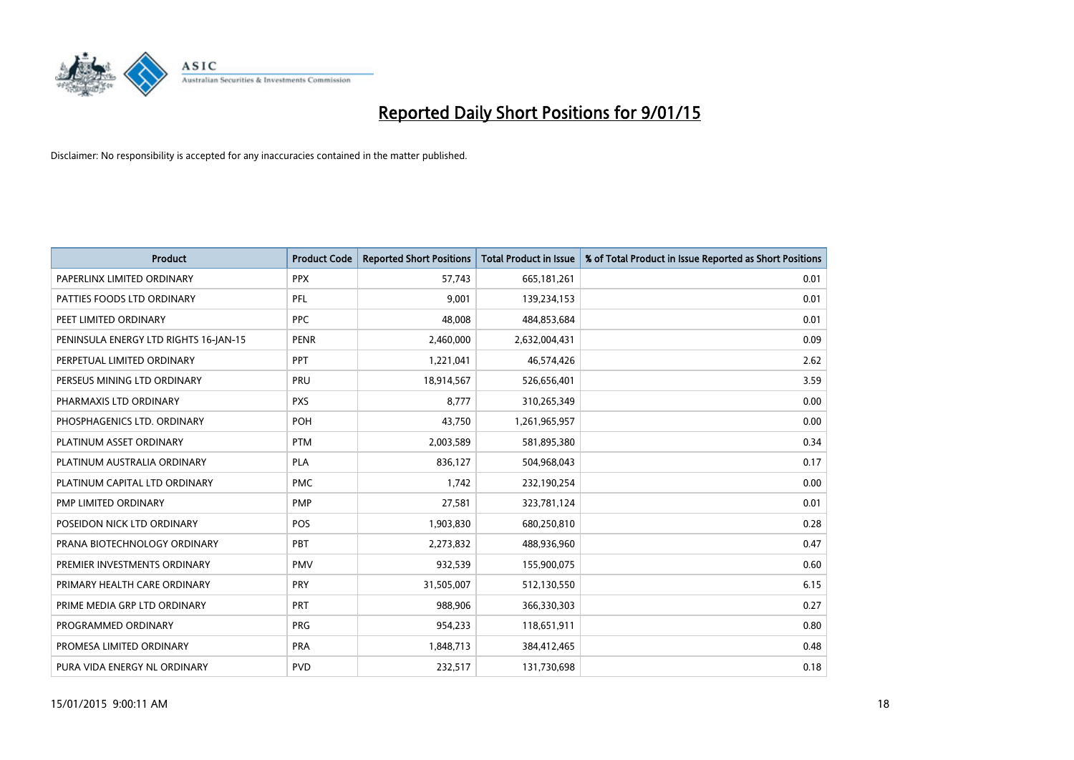

| <b>Product</b>                        | <b>Product Code</b> | <b>Reported Short Positions</b> | <b>Total Product in Issue</b> | % of Total Product in Issue Reported as Short Positions |
|---------------------------------------|---------------------|---------------------------------|-------------------------------|---------------------------------------------------------|
| PAPERLINX LIMITED ORDINARY            | <b>PPX</b>          | 57,743                          | 665, 181, 261                 | 0.01                                                    |
| PATTIES FOODS LTD ORDINARY            | <b>PFL</b>          | 9,001                           | 139,234,153                   | 0.01                                                    |
| PEET LIMITED ORDINARY                 | <b>PPC</b>          | 48,008                          | 484,853,684                   | 0.01                                                    |
| PENINSULA ENERGY LTD RIGHTS 16-JAN-15 | <b>PENR</b>         | 2,460,000                       | 2,632,004,431                 | 0.09                                                    |
| PERPETUAL LIMITED ORDINARY            | PPT                 | 1,221,041                       | 46,574,426                    | 2.62                                                    |
| PERSEUS MINING LTD ORDINARY           | PRU                 | 18,914,567                      | 526,656,401                   | 3.59                                                    |
| PHARMAXIS LTD ORDINARY                | <b>PXS</b>          | 8,777                           | 310,265,349                   | 0.00                                                    |
| PHOSPHAGENICS LTD. ORDINARY           | <b>POH</b>          | 43,750                          | 1,261,965,957                 | 0.00                                                    |
| PLATINUM ASSET ORDINARY               | <b>PTM</b>          | 2,003,589                       | 581,895,380                   | 0.34                                                    |
| PLATINUM AUSTRALIA ORDINARY           | PLA                 | 836,127                         | 504,968,043                   | 0.17                                                    |
| PLATINUM CAPITAL LTD ORDINARY         | <b>PMC</b>          | 1,742                           | 232,190,254                   | 0.00                                                    |
| PMP LIMITED ORDINARY                  | <b>PMP</b>          | 27,581                          | 323,781,124                   | 0.01                                                    |
| POSEIDON NICK LTD ORDINARY            | <b>POS</b>          | 1,903,830                       | 680,250,810                   | 0.28                                                    |
| PRANA BIOTECHNOLOGY ORDINARY          | PBT                 | 2,273,832                       | 488,936,960                   | 0.47                                                    |
| PREMIER INVESTMENTS ORDINARY          | <b>PMV</b>          | 932,539                         | 155,900,075                   | 0.60                                                    |
| PRIMARY HEALTH CARE ORDINARY          | <b>PRY</b>          | 31,505,007                      | 512,130,550                   | 6.15                                                    |
| PRIME MEDIA GRP LTD ORDINARY          | <b>PRT</b>          | 988,906                         | 366,330,303                   | 0.27                                                    |
| PROGRAMMED ORDINARY                   | <b>PRG</b>          | 954,233                         | 118,651,911                   | 0.80                                                    |
| PROMESA LIMITED ORDINARY              | <b>PRA</b>          | 1,848,713                       | 384,412,465                   | 0.48                                                    |
| PURA VIDA ENERGY NL ORDINARY          | <b>PVD</b>          | 232,517                         | 131,730,698                   | 0.18                                                    |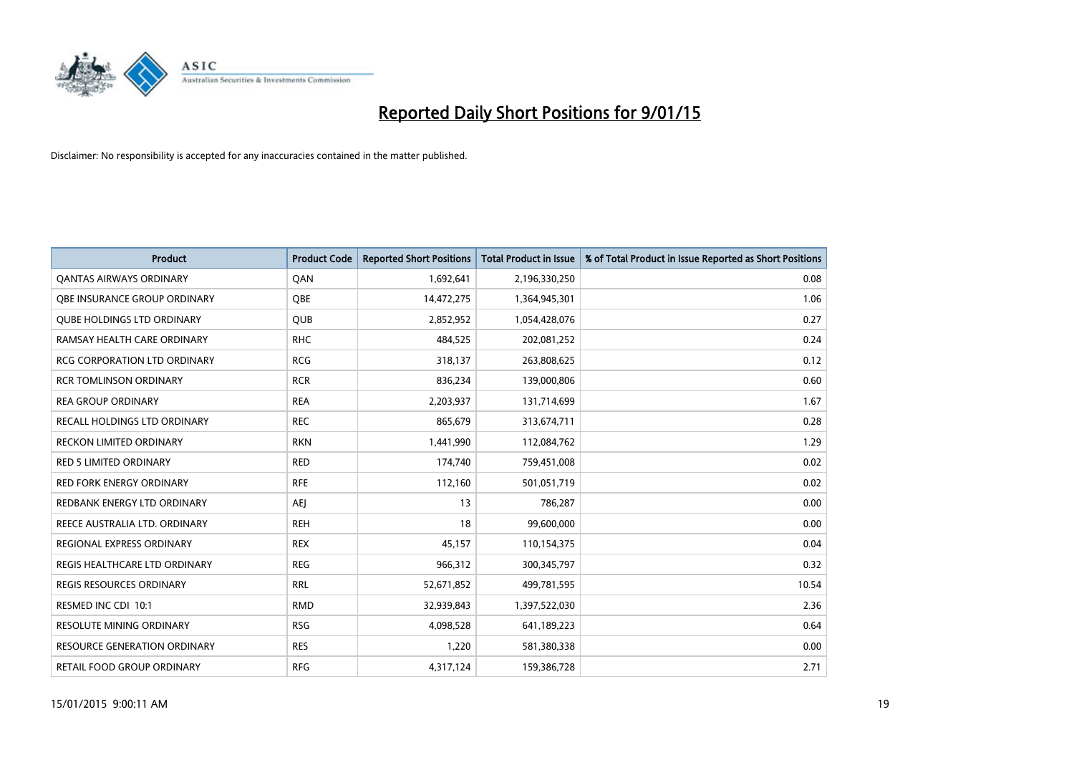

| <b>Product</b>                      | <b>Product Code</b> | <b>Reported Short Positions</b> | <b>Total Product in Issue</b> | % of Total Product in Issue Reported as Short Positions |
|-------------------------------------|---------------------|---------------------------------|-------------------------------|---------------------------------------------------------|
| <b>QANTAS AIRWAYS ORDINARY</b>      | QAN                 | 1,692,641                       | 2,196,330,250                 | 0.08                                                    |
| OBE INSURANCE GROUP ORDINARY        | OBE                 | 14,472,275                      | 1,364,945,301                 | 1.06                                                    |
| <b>QUBE HOLDINGS LTD ORDINARY</b>   | QUB                 | 2,852,952                       | 1,054,428,076                 | 0.27                                                    |
| RAMSAY HEALTH CARE ORDINARY         | <b>RHC</b>          | 484,525                         | 202,081,252                   | 0.24                                                    |
| <b>RCG CORPORATION LTD ORDINARY</b> | <b>RCG</b>          | 318,137                         | 263,808,625                   | 0.12                                                    |
| <b>RCR TOMLINSON ORDINARY</b>       | <b>RCR</b>          | 836,234                         | 139,000,806                   | 0.60                                                    |
| <b>REA GROUP ORDINARY</b>           | <b>REA</b>          | 2,203,937                       | 131,714,699                   | 1.67                                                    |
| RECALL HOLDINGS LTD ORDINARY        | <b>REC</b>          | 865,679                         | 313,674,711                   | 0.28                                                    |
| <b>RECKON LIMITED ORDINARY</b>      | <b>RKN</b>          | 1,441,990                       | 112,084,762                   | 1.29                                                    |
| <b>RED 5 LIMITED ORDINARY</b>       | <b>RED</b>          | 174,740                         | 759,451,008                   | 0.02                                                    |
| RED FORK ENERGY ORDINARY            | <b>RFE</b>          | 112,160                         | 501,051,719                   | 0.02                                                    |
| REDBANK ENERGY LTD ORDINARY         | <b>AEJ</b>          | 13                              | 786,287                       | 0.00                                                    |
| REECE AUSTRALIA LTD. ORDINARY       | <b>REH</b>          | 18                              | 99,600,000                    | 0.00                                                    |
| REGIONAL EXPRESS ORDINARY           | <b>REX</b>          | 45,157                          | 110,154,375                   | 0.04                                                    |
| REGIS HEALTHCARE LTD ORDINARY       | <b>REG</b>          | 966,312                         | 300,345,797                   | 0.32                                                    |
| REGIS RESOURCES ORDINARY            | <b>RRL</b>          | 52,671,852                      | 499,781,595                   | 10.54                                                   |
| RESMED INC CDI 10:1                 | <b>RMD</b>          | 32,939,843                      | 1,397,522,030                 | 2.36                                                    |
| RESOLUTE MINING ORDINARY            | <b>RSG</b>          | 4,098,528                       | 641,189,223                   | 0.64                                                    |
| <b>RESOURCE GENERATION ORDINARY</b> | <b>RES</b>          | 1,220                           | 581,380,338                   | 0.00                                                    |
| RETAIL FOOD GROUP ORDINARY          | <b>RFG</b>          | 4,317,124                       | 159,386,728                   | 2.71                                                    |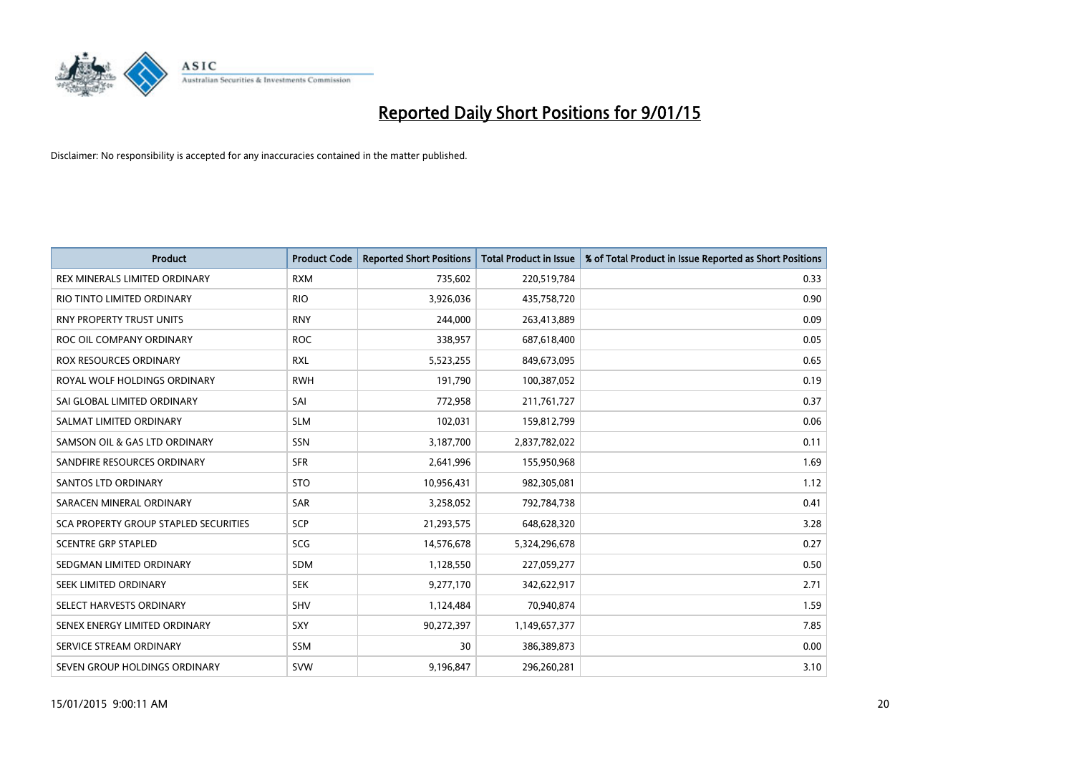

| <b>Product</b>                        | <b>Product Code</b> | <b>Reported Short Positions</b> | <b>Total Product in Issue</b> | % of Total Product in Issue Reported as Short Positions |
|---------------------------------------|---------------------|---------------------------------|-------------------------------|---------------------------------------------------------|
| REX MINERALS LIMITED ORDINARY         | <b>RXM</b>          | 735,602                         | 220,519,784                   | 0.33                                                    |
| RIO TINTO LIMITED ORDINARY            | <b>RIO</b>          | 3,926,036                       | 435,758,720                   | 0.90                                                    |
| <b>RNY PROPERTY TRUST UNITS</b>       | <b>RNY</b>          | 244,000                         | 263,413,889                   | 0.09                                                    |
| ROC OIL COMPANY ORDINARY              | <b>ROC</b>          | 338,957                         | 687,618,400                   | 0.05                                                    |
| <b>ROX RESOURCES ORDINARY</b>         | <b>RXL</b>          | 5,523,255                       | 849,673,095                   | 0.65                                                    |
| ROYAL WOLF HOLDINGS ORDINARY          | <b>RWH</b>          | 191,790                         | 100,387,052                   | 0.19                                                    |
| SAI GLOBAL LIMITED ORDINARY           | SAI                 | 772,958                         | 211,761,727                   | 0.37                                                    |
| SALMAT LIMITED ORDINARY               | <b>SLM</b>          | 102,031                         | 159,812,799                   | 0.06                                                    |
| SAMSON OIL & GAS LTD ORDINARY         | SSN                 | 3,187,700                       | 2,837,782,022                 | 0.11                                                    |
| SANDFIRE RESOURCES ORDINARY           | <b>SFR</b>          | 2,641,996                       | 155,950,968                   | 1.69                                                    |
| <b>SANTOS LTD ORDINARY</b>            | <b>STO</b>          | 10,956,431                      | 982,305,081                   | 1.12                                                    |
| SARACEN MINERAL ORDINARY              | SAR                 | 3,258,052                       | 792,784,738                   | 0.41                                                    |
| SCA PROPERTY GROUP STAPLED SECURITIES | <b>SCP</b>          | 21,293,575                      | 648,628,320                   | 3.28                                                    |
| <b>SCENTRE GRP STAPLED</b>            | SCG                 | 14,576,678                      | 5,324,296,678                 | 0.27                                                    |
| SEDGMAN LIMITED ORDINARY              | <b>SDM</b>          | 1,128,550                       | 227,059,277                   | 0.50                                                    |
| SEEK LIMITED ORDINARY                 | <b>SEK</b>          | 9,277,170                       | 342,622,917                   | 2.71                                                    |
| SELECT HARVESTS ORDINARY              | SHV                 | 1,124,484                       | 70,940,874                    | 1.59                                                    |
| SENEX ENERGY LIMITED ORDINARY         | <b>SXY</b>          | 90,272,397                      | 1,149,657,377                 | 7.85                                                    |
| SERVICE STREAM ORDINARY               | <b>SSM</b>          | 30                              | 386,389,873                   | 0.00                                                    |
| SEVEN GROUP HOLDINGS ORDINARY         | <b>SVW</b>          | 9,196,847                       | 296,260,281                   | 3.10                                                    |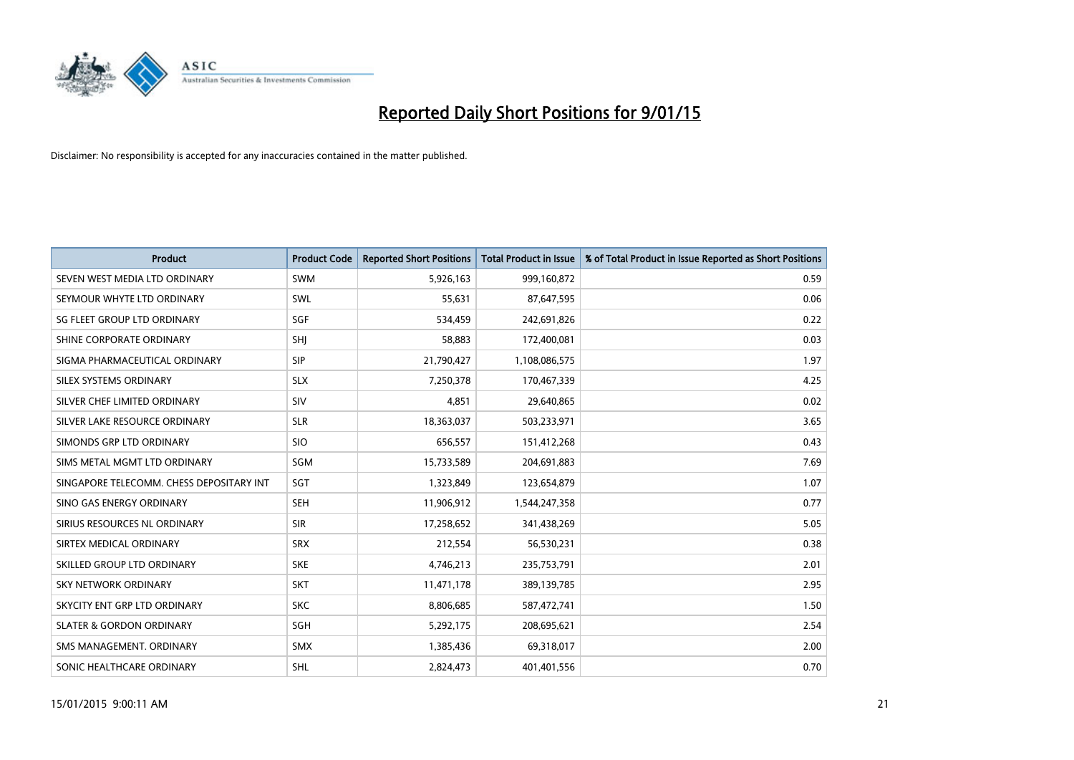

| <b>Product</b>                           | <b>Product Code</b> | <b>Reported Short Positions</b> | <b>Total Product in Issue</b> | % of Total Product in Issue Reported as Short Positions |
|------------------------------------------|---------------------|---------------------------------|-------------------------------|---------------------------------------------------------|
| SEVEN WEST MEDIA LTD ORDINARY            | <b>SWM</b>          | 5,926,163                       | 999,160,872                   | 0.59                                                    |
| SEYMOUR WHYTE LTD ORDINARY               | SWL                 | 55,631                          | 87,647,595                    | 0.06                                                    |
| SG FLEET GROUP LTD ORDINARY              | SGF                 | 534.459                         | 242,691,826                   | 0.22                                                    |
| SHINE CORPORATE ORDINARY                 | SHJ                 | 58,883                          | 172,400,081                   | 0.03                                                    |
| SIGMA PHARMACEUTICAL ORDINARY            | <b>SIP</b>          | 21,790,427                      | 1,108,086,575                 | 1.97                                                    |
| SILEX SYSTEMS ORDINARY                   | <b>SLX</b>          | 7,250,378                       | 170,467,339                   | 4.25                                                    |
| SILVER CHEF LIMITED ORDINARY             | SIV                 | 4,851                           | 29,640,865                    | 0.02                                                    |
| SILVER LAKE RESOURCE ORDINARY            | <b>SLR</b>          | 18,363,037                      | 503,233,971                   | 3.65                                                    |
| SIMONDS GRP LTD ORDINARY                 | <b>SIO</b>          | 656,557                         | 151,412,268                   | 0.43                                                    |
| SIMS METAL MGMT LTD ORDINARY             | SGM                 | 15,733,589                      | 204,691,883                   | 7.69                                                    |
| SINGAPORE TELECOMM. CHESS DEPOSITARY INT | SGT                 | 1,323,849                       | 123,654,879                   | 1.07                                                    |
| SINO GAS ENERGY ORDINARY                 | <b>SEH</b>          | 11,906,912                      | 1,544,247,358                 | 0.77                                                    |
| SIRIUS RESOURCES NL ORDINARY             | <b>SIR</b>          | 17,258,652                      | 341,438,269                   | 5.05                                                    |
| SIRTEX MEDICAL ORDINARY                  | <b>SRX</b>          | 212,554                         | 56,530,231                    | 0.38                                                    |
| SKILLED GROUP LTD ORDINARY               | <b>SKE</b>          | 4,746,213                       | 235,753,791                   | 2.01                                                    |
| SKY NETWORK ORDINARY                     | <b>SKT</b>          | 11,471,178                      | 389,139,785                   | 2.95                                                    |
| SKYCITY ENT GRP LTD ORDINARY             | <b>SKC</b>          | 8,806,685                       | 587,472,741                   | 1.50                                                    |
| <b>SLATER &amp; GORDON ORDINARY</b>      | SGH                 | 5,292,175                       | 208,695,621                   | 2.54                                                    |
| SMS MANAGEMENT, ORDINARY                 | <b>SMX</b>          | 1,385,436                       | 69,318,017                    | 2.00                                                    |
| SONIC HEALTHCARE ORDINARY                | SHL                 | 2,824,473                       | 401,401,556                   | 0.70                                                    |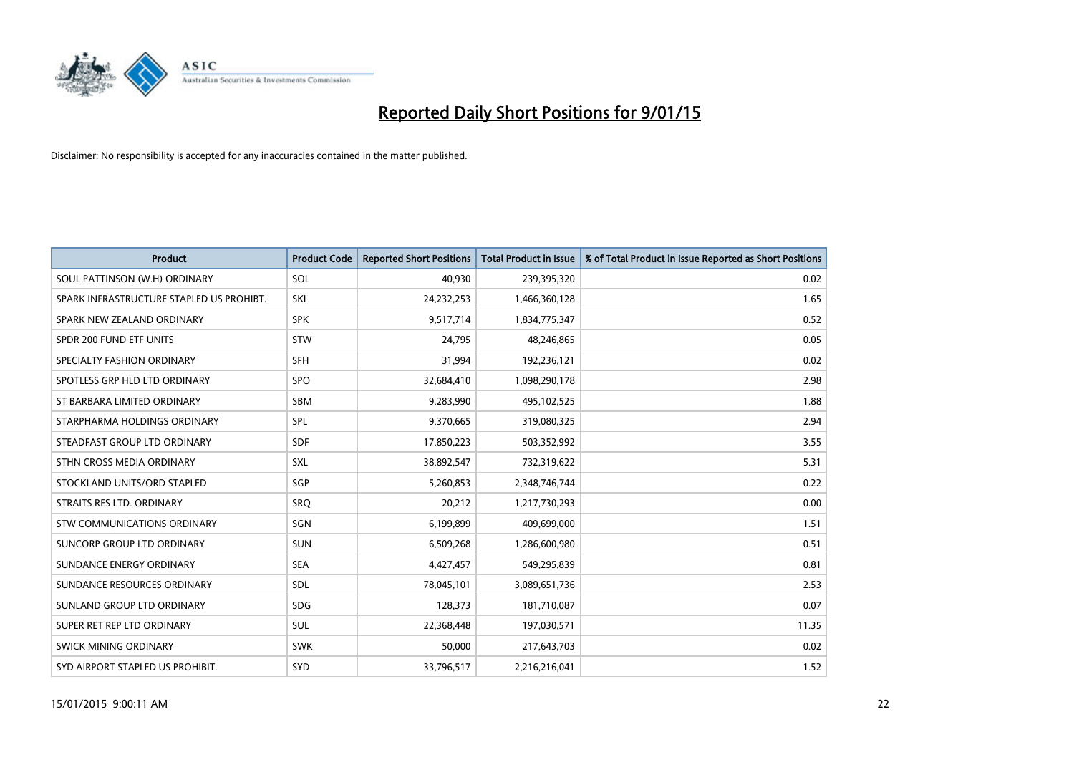

| <b>Product</b>                           | <b>Product Code</b> | <b>Reported Short Positions</b> | <b>Total Product in Issue</b> | % of Total Product in Issue Reported as Short Positions |
|------------------------------------------|---------------------|---------------------------------|-------------------------------|---------------------------------------------------------|
| SOUL PATTINSON (W.H) ORDINARY            | SOL                 | 40,930                          | 239,395,320                   | 0.02                                                    |
| SPARK INFRASTRUCTURE STAPLED US PROHIBT. | SKI                 | 24,232,253                      | 1,466,360,128                 | 1.65                                                    |
| SPARK NEW ZEALAND ORDINARY               | <b>SPK</b>          | 9,517,714                       | 1,834,775,347                 | 0.52                                                    |
| SPDR 200 FUND ETF UNITS                  | <b>STW</b>          | 24,795                          | 48,246,865                    | 0.05                                                    |
| SPECIALTY FASHION ORDINARY               | <b>SFH</b>          | 31,994                          | 192,236,121                   | 0.02                                                    |
| SPOTLESS GRP HLD LTD ORDINARY            | <b>SPO</b>          | 32,684,410                      | 1,098,290,178                 | 2.98                                                    |
| ST BARBARA LIMITED ORDINARY              | <b>SBM</b>          | 9,283,990                       | 495,102,525                   | 1.88                                                    |
| STARPHARMA HOLDINGS ORDINARY             | SPL                 | 9,370,665                       | 319,080,325                   | 2.94                                                    |
| STEADFAST GROUP LTD ORDINARY             | <b>SDF</b>          | 17,850,223                      | 503,352,992                   | 3.55                                                    |
| STHN CROSS MEDIA ORDINARY                | <b>SXL</b>          | 38,892,547                      | 732,319,622                   | 5.31                                                    |
| STOCKLAND UNITS/ORD STAPLED              | SGP                 | 5,260,853                       | 2,348,746,744                 | 0.22                                                    |
| STRAITS RES LTD. ORDINARY                | <b>SRQ</b>          | 20,212                          | 1,217,730,293                 | 0.00                                                    |
| STW COMMUNICATIONS ORDINARY              | SGN                 | 6,199,899                       | 409,699,000                   | 1.51                                                    |
| <b>SUNCORP GROUP LTD ORDINARY</b>        | <b>SUN</b>          | 6,509,268                       | 1,286,600,980                 | 0.51                                                    |
| SUNDANCE ENERGY ORDINARY                 | <b>SEA</b>          | 4,427,457                       | 549,295,839                   | 0.81                                                    |
| SUNDANCE RESOURCES ORDINARY              | SDL                 | 78,045,101                      | 3,089,651,736                 | 2.53                                                    |
| SUNLAND GROUP LTD ORDINARY               | <b>SDG</b>          | 128,373                         | 181,710,087                   | 0.07                                                    |
| SUPER RET REP LTD ORDINARY               | <b>SUL</b>          | 22,368,448                      | 197,030,571                   | 11.35                                                   |
| SWICK MINING ORDINARY                    | <b>SWK</b>          | 50,000                          | 217,643,703                   | 0.02                                                    |
| SYD AIRPORT STAPLED US PROHIBIT.         | SYD                 | 33,796,517                      | 2,216,216,041                 | 1.52                                                    |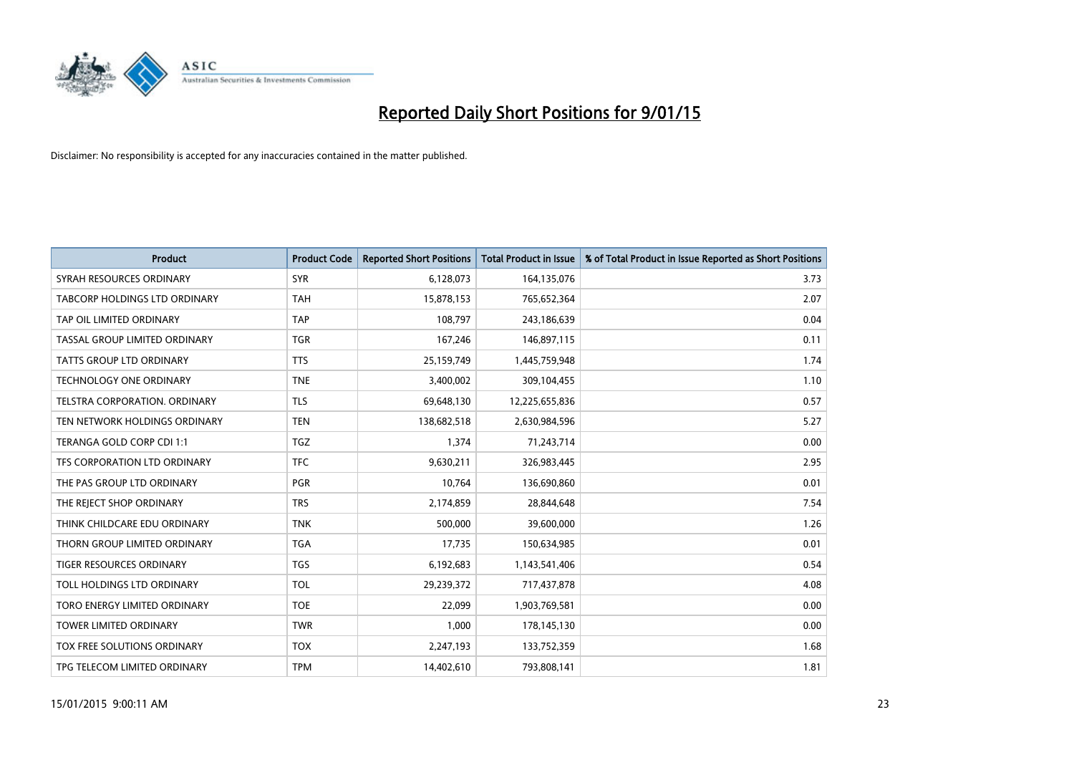

| <b>Product</b>                  | <b>Product Code</b> | <b>Reported Short Positions</b> | <b>Total Product in Issue</b> | % of Total Product in Issue Reported as Short Positions |
|---------------------------------|---------------------|---------------------------------|-------------------------------|---------------------------------------------------------|
| SYRAH RESOURCES ORDINARY        | <b>SYR</b>          | 6,128,073                       | 164,135,076                   | 3.73                                                    |
| TABCORP HOLDINGS LTD ORDINARY   | TAH                 | 15,878,153                      | 765,652,364                   | 2.07                                                    |
| TAP OIL LIMITED ORDINARY        | <b>TAP</b>          | 108.797                         | 243,186,639                   | 0.04                                                    |
| TASSAL GROUP LIMITED ORDINARY   | <b>TGR</b>          | 167,246                         | 146,897,115                   | 0.11                                                    |
| <b>TATTS GROUP LTD ORDINARY</b> | <b>TTS</b>          | 25,159,749                      | 1,445,759,948                 | 1.74                                                    |
| <b>TECHNOLOGY ONE ORDINARY</b>  | <b>TNE</b>          | 3,400,002                       | 309,104,455                   | 1.10                                                    |
| TELSTRA CORPORATION, ORDINARY   | <b>TLS</b>          | 69,648,130                      | 12,225,655,836                | 0.57                                                    |
| TEN NETWORK HOLDINGS ORDINARY   | <b>TEN</b>          | 138,682,518                     | 2,630,984,596                 | 5.27                                                    |
| TERANGA GOLD CORP CDI 1:1       | <b>TGZ</b>          | 1,374                           | 71,243,714                    | 0.00                                                    |
| TFS CORPORATION LTD ORDINARY    | <b>TFC</b>          | 9,630,211                       | 326,983,445                   | 2.95                                                    |
| THE PAS GROUP LTD ORDINARY      | PGR                 | 10,764                          | 136,690,860                   | 0.01                                                    |
| THE REJECT SHOP ORDINARY        | <b>TRS</b>          | 2,174,859                       | 28,844,648                    | 7.54                                                    |
| THINK CHILDCARE EDU ORDINARY    | <b>TNK</b>          | 500,000                         | 39,600,000                    | 1.26                                                    |
| THORN GROUP LIMITED ORDINARY    | <b>TGA</b>          | 17,735                          | 150,634,985                   | 0.01                                                    |
| <b>TIGER RESOURCES ORDINARY</b> | <b>TGS</b>          | 6,192,683                       | 1,143,541,406                 | 0.54                                                    |
| TOLL HOLDINGS LTD ORDINARY      | <b>TOL</b>          | 29,239,372                      | 717,437,878                   | 4.08                                                    |
| TORO ENERGY LIMITED ORDINARY    | <b>TOE</b>          | 22,099                          | 1,903,769,581                 | 0.00                                                    |
| TOWER LIMITED ORDINARY          | <b>TWR</b>          | 1,000                           | 178,145,130                   | 0.00                                                    |
| TOX FREE SOLUTIONS ORDINARY     | <b>TOX</b>          | 2,247,193                       | 133,752,359                   | 1.68                                                    |
| TPG TELECOM LIMITED ORDINARY    | <b>TPM</b>          | 14,402,610                      | 793,808,141                   | 1.81                                                    |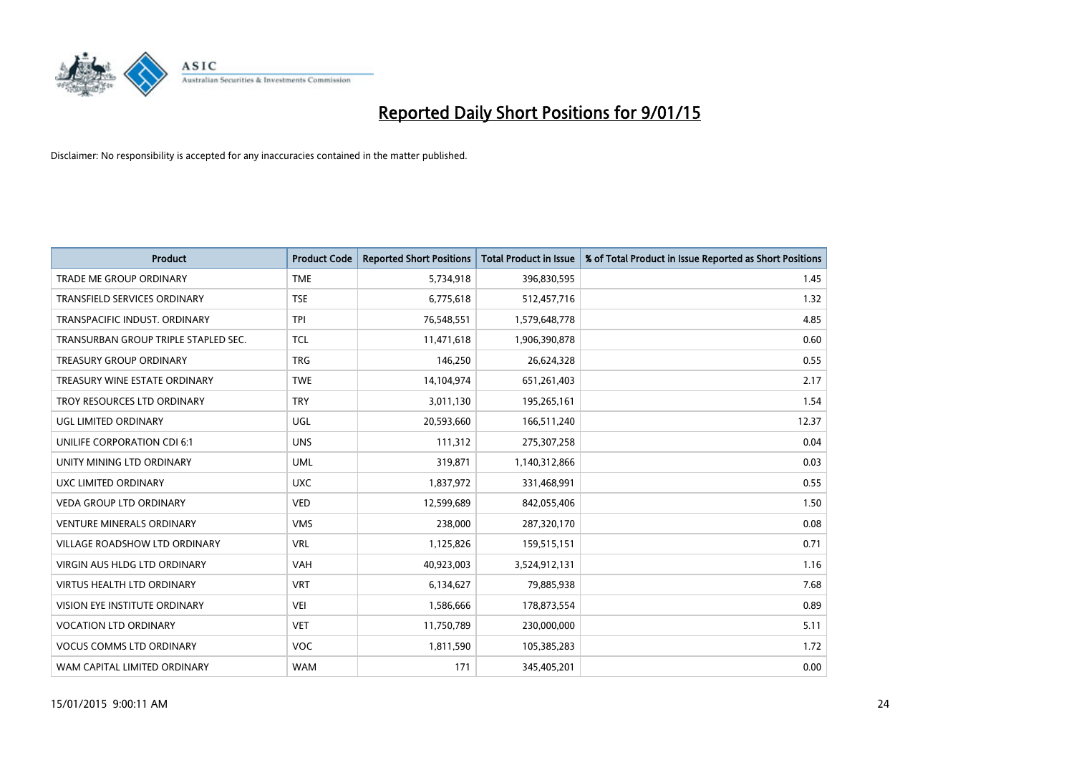

| <b>Product</b>                       | <b>Product Code</b> | <b>Reported Short Positions</b> | <b>Total Product in Issue</b> | % of Total Product in Issue Reported as Short Positions |
|--------------------------------------|---------------------|---------------------------------|-------------------------------|---------------------------------------------------------|
| <b>TRADE ME GROUP ORDINARY</b>       | <b>TME</b>          | 5,734,918                       | 396,830,595                   | 1.45                                                    |
| TRANSFIELD SERVICES ORDINARY         | <b>TSE</b>          | 6,775,618                       | 512,457,716                   | 1.32                                                    |
| TRANSPACIFIC INDUST, ORDINARY        | <b>TPI</b>          | 76,548,551                      | 1,579,648,778                 | 4.85                                                    |
| TRANSURBAN GROUP TRIPLE STAPLED SEC. | <b>TCL</b>          | 11,471,618                      | 1,906,390,878                 | 0.60                                                    |
| <b>TREASURY GROUP ORDINARY</b>       | <b>TRG</b>          | 146,250                         | 26,624,328                    | 0.55                                                    |
| TREASURY WINE ESTATE ORDINARY        | <b>TWE</b>          | 14,104,974                      | 651,261,403                   | 2.17                                                    |
| TROY RESOURCES LTD ORDINARY          | <b>TRY</b>          | 3,011,130                       | 195,265,161                   | 1.54                                                    |
| UGL LIMITED ORDINARY                 | UGL                 | 20,593,660                      | 166,511,240                   | 12.37                                                   |
| UNILIFE CORPORATION CDI 6:1          | <b>UNS</b>          | 111,312                         | 275,307,258                   | 0.04                                                    |
| UNITY MINING LTD ORDINARY            | <b>UML</b>          | 319,871                         | 1,140,312,866                 | 0.03                                                    |
| UXC LIMITED ORDINARY                 | <b>UXC</b>          | 1,837,972                       | 331,468,991                   | 0.55                                                    |
| <b>VEDA GROUP LTD ORDINARY</b>       | <b>VED</b>          | 12,599,689                      | 842,055,406                   | 1.50                                                    |
| <b>VENTURE MINERALS ORDINARY</b>     | <b>VMS</b>          | 238,000                         | 287,320,170                   | 0.08                                                    |
| <b>VILLAGE ROADSHOW LTD ORDINARY</b> | <b>VRL</b>          | 1,125,826                       | 159,515,151                   | 0.71                                                    |
| <b>VIRGIN AUS HLDG LTD ORDINARY</b>  | <b>VAH</b>          | 40,923,003                      | 3,524,912,131                 | 1.16                                                    |
| VIRTUS HEALTH LTD ORDINARY           | <b>VRT</b>          | 6,134,627                       | 79,885,938                    | 7.68                                                    |
| VISION EYE INSTITUTE ORDINARY        | <b>VEI</b>          | 1,586,666                       | 178,873,554                   | 0.89                                                    |
| <b>VOCATION LTD ORDINARY</b>         | <b>VET</b>          | 11,750,789                      | 230,000,000                   | 5.11                                                    |
| <b>VOCUS COMMS LTD ORDINARY</b>      | <b>VOC</b>          | 1,811,590                       | 105,385,283                   | 1.72                                                    |
| WAM CAPITAL LIMITED ORDINARY         | <b>WAM</b>          | 171                             | 345,405,201                   | 0.00                                                    |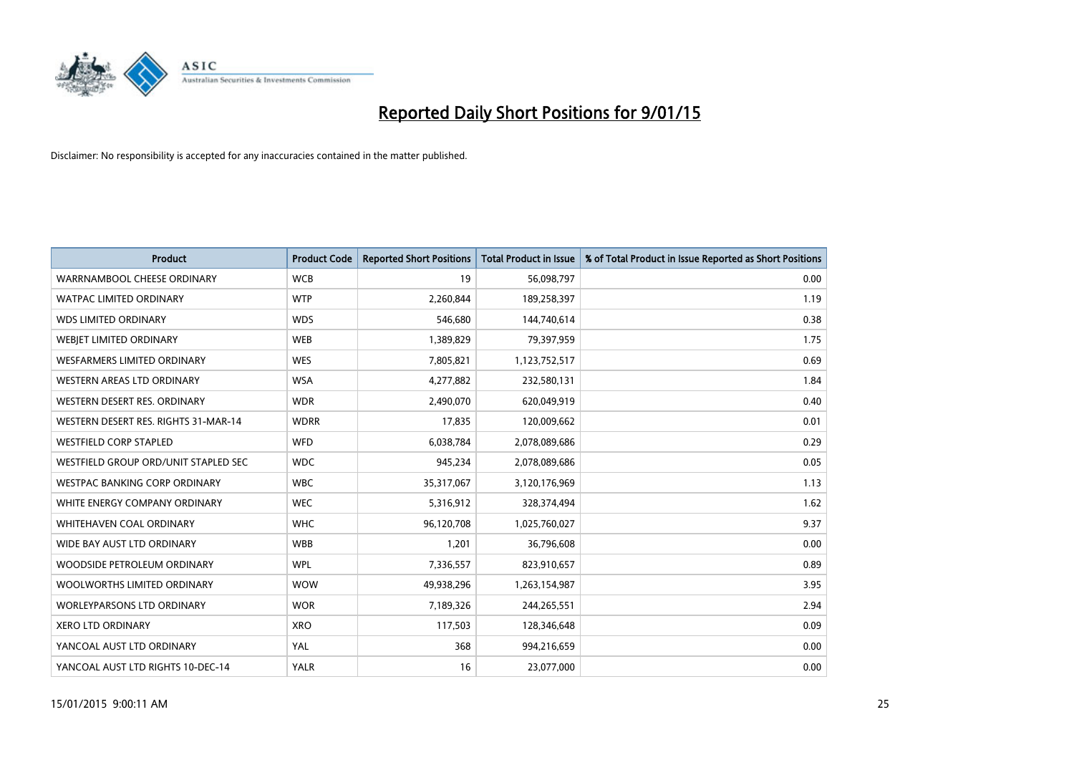

| <b>Product</b>                       | <b>Product Code</b> | <b>Reported Short Positions</b> | <b>Total Product in Issue</b> | % of Total Product in Issue Reported as Short Positions |
|--------------------------------------|---------------------|---------------------------------|-------------------------------|---------------------------------------------------------|
| WARRNAMBOOL CHEESE ORDINARY          | <b>WCB</b>          | 19                              | 56,098,797                    | 0.00                                                    |
| <b>WATPAC LIMITED ORDINARY</b>       | <b>WTP</b>          | 2,260,844                       | 189,258,397                   | 1.19                                                    |
| <b>WDS LIMITED ORDINARY</b>          | <b>WDS</b>          | 546,680                         | 144,740,614                   | 0.38                                                    |
| WEBIET LIMITED ORDINARY              | <b>WEB</b>          | 1,389,829                       | 79,397,959                    | 1.75                                                    |
| <b>WESFARMERS LIMITED ORDINARY</b>   | <b>WES</b>          | 7,805,821                       | 1,123,752,517                 | 0.69                                                    |
| <b>WESTERN AREAS LTD ORDINARY</b>    | <b>WSA</b>          | 4,277,882                       | 232,580,131                   | 1.84                                                    |
| WESTERN DESERT RES. ORDINARY         | <b>WDR</b>          | 2,490,070                       | 620,049,919                   | 0.40                                                    |
| WESTERN DESERT RES. RIGHTS 31-MAR-14 | <b>WDRR</b>         | 17,835                          | 120,009,662                   | 0.01                                                    |
| <b>WESTFIELD CORP STAPLED</b>        | <b>WFD</b>          | 6,038,784                       | 2,078,089,686                 | 0.29                                                    |
| WESTFIELD GROUP ORD/UNIT STAPLED SEC | <b>WDC</b>          | 945,234                         | 2,078,089,686                 | 0.05                                                    |
| <b>WESTPAC BANKING CORP ORDINARY</b> | <b>WBC</b>          | 35,317,067                      | 3,120,176,969                 | 1.13                                                    |
| WHITE ENERGY COMPANY ORDINARY        | <b>WEC</b>          | 5,316,912                       | 328,374,494                   | 1.62                                                    |
| WHITEHAVEN COAL ORDINARY             | <b>WHC</b>          | 96,120,708                      | 1,025,760,027                 | 9.37                                                    |
| WIDE BAY AUST LTD ORDINARY           | <b>WBB</b>          | 1,201                           | 36,796,608                    | 0.00                                                    |
| WOODSIDE PETROLEUM ORDINARY          | <b>WPL</b>          | 7,336,557                       | 823,910,657                   | 0.89                                                    |
| WOOLWORTHS LIMITED ORDINARY          | <b>WOW</b>          | 49,938,296                      | 1,263,154,987                 | 3.95                                                    |
| <b>WORLEYPARSONS LTD ORDINARY</b>    | <b>WOR</b>          | 7,189,326                       | 244,265,551                   | 2.94                                                    |
| <b>XERO LTD ORDINARY</b>             | <b>XRO</b>          | 117,503                         | 128,346,648                   | 0.09                                                    |
| YANCOAL AUST LTD ORDINARY            | YAL                 | 368                             | 994,216,659                   | 0.00                                                    |
| YANCOAL AUST LTD RIGHTS 10-DEC-14    | <b>YALR</b>         | 16                              | 23,077,000                    | 0.00                                                    |